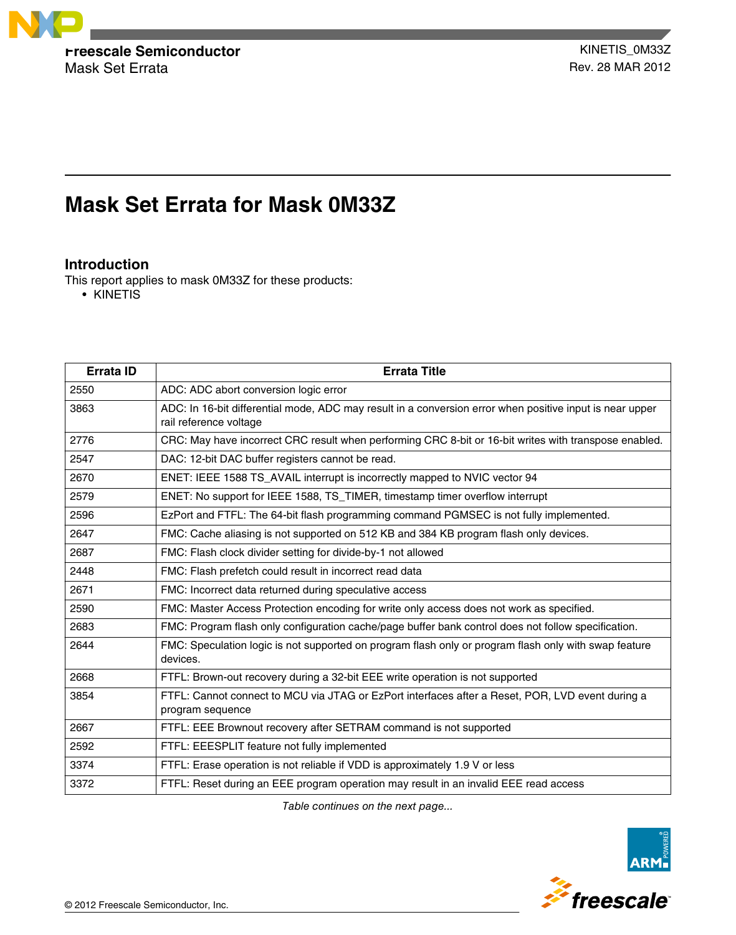

Mask Set Errata **Rev. 28 MAR 2012** 

# **Mask Set Errata for Mask 0M33Z**

# **Introduction**

This report applies to mask 0M33Z for these products:

• KINETIS

| Errata ID | <b>Errata Title</b>                                                                                                                |
|-----------|------------------------------------------------------------------------------------------------------------------------------------|
| 2550      | ADC: ADC abort conversion logic error                                                                                              |
| 3863      | ADC: In 16-bit differential mode, ADC may result in a conversion error when positive input is near upper<br>rail reference voltage |
| 2776      | CRC: May have incorrect CRC result when performing CRC 8-bit or 16-bit writes with transpose enabled.                              |
| 2547      | DAC: 12-bit DAC buffer registers cannot be read.                                                                                   |
| 2670      | ENET: IEEE 1588 TS_AVAIL interrupt is incorrectly mapped to NVIC vector 94                                                         |
| 2579      | ENET: No support for IEEE 1588, TS_TIMER, timestamp timer overflow interrupt                                                       |
| 2596      | EzPort and FTFL: The 64-bit flash programming command PGMSEC is not fully implemented.                                             |
| 2647      | FMC: Cache aliasing is not supported on 512 KB and 384 KB program flash only devices.                                              |
| 2687      | FMC: Flash clock divider setting for divide-by-1 not allowed                                                                       |
| 2448      | FMC: Flash prefetch could result in incorrect read data                                                                            |
| 2671      | FMC: Incorrect data returned during speculative access                                                                             |
| 2590      | FMC: Master Access Protection encoding for write only access does not work as specified.                                           |
| 2683      | FMC: Program flash only configuration cache/page buffer bank control does not follow specification.                                |
| 2644      | FMC: Speculation logic is not supported on program flash only or program flash only with swap feature<br>devices.                  |
| 2668      | FTFL: Brown-out recovery during a 32-bit EEE write operation is not supported                                                      |
| 3854      | FTFL: Cannot connect to MCU via JTAG or EzPort interfaces after a Reset, POR, LVD event during a<br>program sequence               |
| 2667      | FTFL: EEE Brownout recovery after SETRAM command is not supported                                                                  |
| 2592      | FTFL: EEESPLIT feature not fully implemented                                                                                       |
| 3374      | FTFL: Erase operation is not reliable if VDD is approximately 1.9 V or less                                                        |
| 3372      | FTFL: Reset during an EEE program operation may result in an invalid EEE read access                                               |

*Table continues on the next page...*

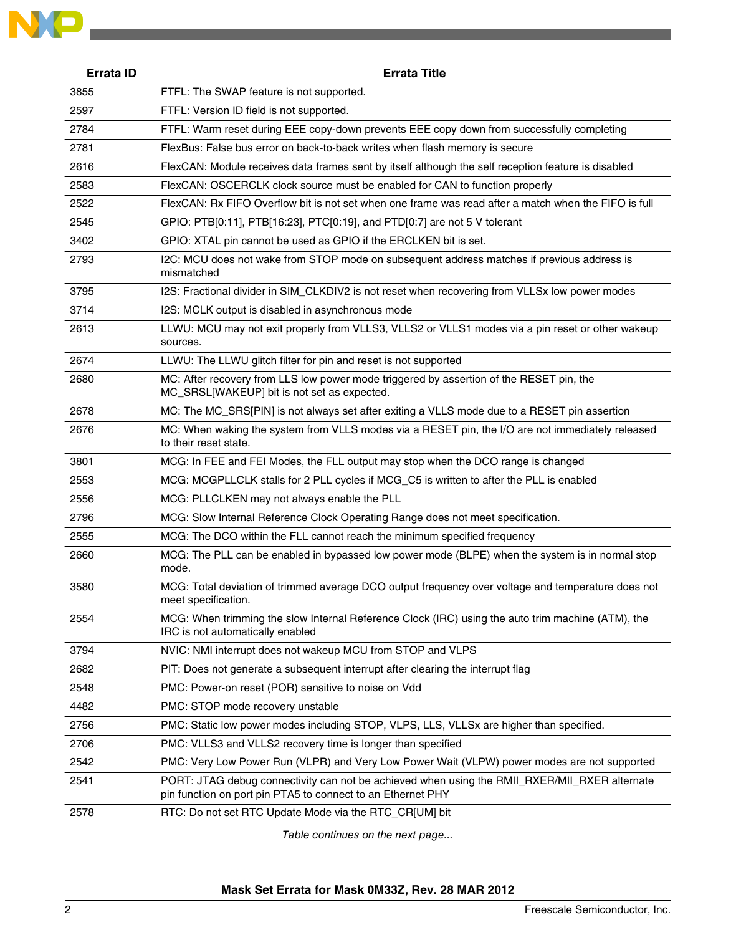| <b>Errata ID</b> | <b>Errata Title</b>                                                                                                                    |  |  |  |  |
|------------------|----------------------------------------------------------------------------------------------------------------------------------------|--|--|--|--|
| 3855             | FTFL: The SWAP feature is not supported.                                                                                               |  |  |  |  |
| 2597             | FTFL: Version ID field is not supported.                                                                                               |  |  |  |  |
| 2784             | FTFL: Warm reset during EEE copy-down prevents EEE copy down from successfully completing                                              |  |  |  |  |
| 2781             | FlexBus: False bus error on back-to-back writes when flash memory is secure                                                            |  |  |  |  |
| 2616             | FlexCAN: Module receives data frames sent by itself although the self reception feature is disabled                                    |  |  |  |  |
| 2583             | FlexCAN: OSCERCLK clock source must be enabled for CAN to function properly                                                            |  |  |  |  |
| 2522             | FlexCAN: Rx FIFO Overflow bit is not set when one frame was read after a match when the FIFO is full                                   |  |  |  |  |
| 2545             | GPIO: PTB[0:11], PTB[16:23], PTC[0:19], and PTD[0:7] are not 5 V tolerant                                                              |  |  |  |  |
| 3402             | GPIO: XTAL pin cannot be used as GPIO if the ERCLKEN bit is set.                                                                       |  |  |  |  |
| 2793             | I2C: MCU does not wake from STOP mode on subsequent address matches if previous address is<br>mismatched                               |  |  |  |  |
| 3795             | I2S: Fractional divider in SIM_CLKDIV2 is not reset when recovering from VLLSx low power modes                                         |  |  |  |  |
| 3714             | I2S: MCLK output is disabled in asynchronous mode                                                                                      |  |  |  |  |
| 2613             | LLWU: MCU may not exit properly from VLLS3, VLLS2 or VLLS1 modes via a pin reset or other wakeup<br>sources.                           |  |  |  |  |
| 2674             | LLWU: The LLWU glitch filter for pin and reset is not supported                                                                        |  |  |  |  |
| 2680             | MC: After recovery from LLS low power mode triggered by assertion of the RESET pin, the<br>MC_SRSL[WAKEUP] bit is not set as expected. |  |  |  |  |
| 2678             | MC: The MC_SRS[PIN] is not always set after exiting a VLLS mode due to a RESET pin assertion                                           |  |  |  |  |
| 2676             | MC: When waking the system from VLLS modes via a RESET pin, the I/O are not immediately released<br>to their reset state.              |  |  |  |  |
| 3801             | MCG: In FEE and FEI Modes, the FLL output may stop when the DCO range is changed                                                       |  |  |  |  |
| 2553             | MCG: MCGPLLCLK stalls for 2 PLL cycles if MCG_C5 is written to after the PLL is enabled                                                |  |  |  |  |
| 2556             | MCG: PLLCLKEN may not always enable the PLL                                                                                            |  |  |  |  |
| 2796             | MCG: Slow Internal Reference Clock Operating Range does not meet specification.                                                        |  |  |  |  |
| 2555             | MCG: The DCO within the FLL cannot reach the minimum specified frequency                                                               |  |  |  |  |
| 2660             | MCG: The PLL can be enabled in bypassed low power mode (BLPE) when the system is in normal stop<br>mode.                               |  |  |  |  |
| 3580             | MCG: Total deviation of trimmed average DCO output frequency over voltage and temperature does not<br>meet specification.              |  |  |  |  |
| 2554             | MCG: When trimming the slow Internal Reference Clock (IRC) using the auto trim machine (ATM), the<br>IRC is not automatically enabled  |  |  |  |  |
| 3794             | NVIC: NMI interrupt does not wakeup MCU from STOP and VLPS                                                                             |  |  |  |  |
| 2682             | PIT: Does not generate a subsequent interrupt after clearing the interrupt flag                                                        |  |  |  |  |
| 2548             | PMC: Power-on reset (POR) sensitive to noise on Vdd                                                                                    |  |  |  |  |
| 4482             | PMC: STOP mode recovery unstable                                                                                                       |  |  |  |  |
| 2756             | PMC: Static low power modes including STOP, VLPS, LLS, VLLSx are higher than specified.                                                |  |  |  |  |
| 2706             | PMC: VLLS3 and VLLS2 recovery time is longer than specified                                                                            |  |  |  |  |
| 2542             | PMC: Very Low Power Run (VLPR) and Very Low Power Wait (VLPW) power modes are not supported                                            |  |  |  |  |

 PORT: JTAG debug connectivity can not be achieved when using the RMII\_RXER/MII\_RXER alternate pin function on port pin PTA5 to connect to an Ethernet PHY

**RTC: Do not set RTC Update Mode via the RTC\_CR[UM] bit** 

*Table continues on the next page...*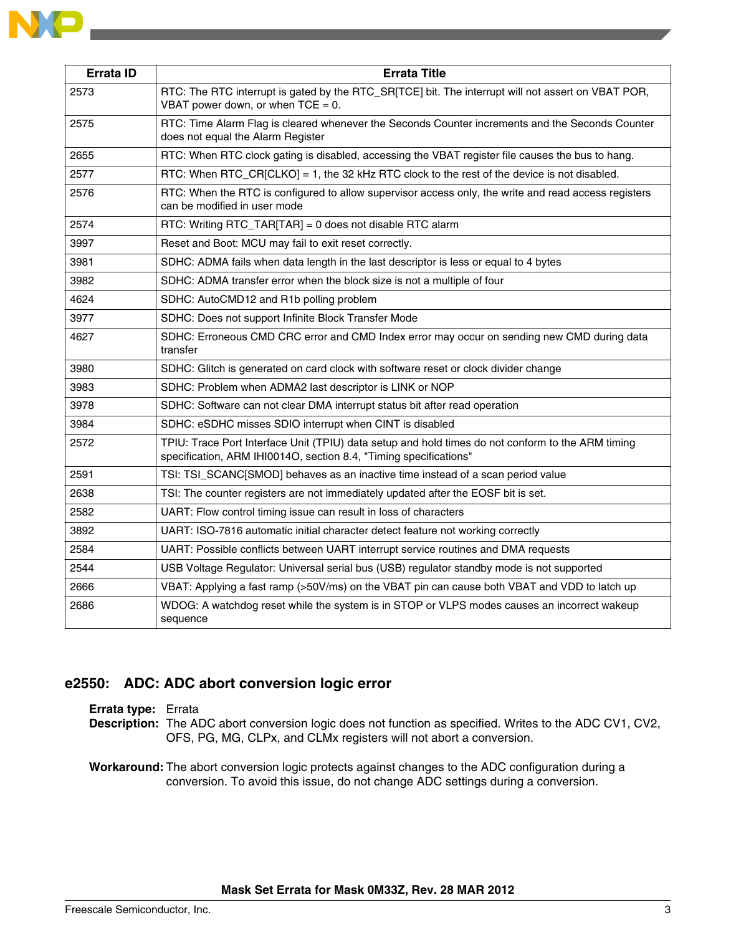| <b>Errata ID</b> | <b>Errata Title</b>                                                                                                                                                    |  |  |
|------------------|------------------------------------------------------------------------------------------------------------------------------------------------------------------------|--|--|
| 2573             | RTC: The RTC interrupt is gated by the RTC_SR[TCE] bit. The interrupt will not assert on VBAT POR,<br>VBAT power down, or when $TCE = 0$ .                             |  |  |
| 2575             | RTC: Time Alarm Flag is cleared whenever the Seconds Counter increments and the Seconds Counter<br>does not equal the Alarm Register                                   |  |  |
| 2655             | RTC: When RTC clock gating is disabled, accessing the VBAT register file causes the bus to hang.                                                                       |  |  |
| 2577             | RTC: When RTC_CR $[CLKO] = 1$ , the 32 kHz RTC clock to the rest of the device is not disabled.                                                                        |  |  |
| 2576             | RTC: When the RTC is configured to allow supervisor access only, the write and read access registers<br>can be modified in user mode                                   |  |  |
| 2574             | RTC: Writing RTC_TAR[TAR] = 0 does not disable RTC alarm                                                                                                               |  |  |
| 3997             | Reset and Boot: MCU may fail to exit reset correctly.                                                                                                                  |  |  |
| 3981             | SDHC: ADMA fails when data length in the last descriptor is less or equal to 4 bytes                                                                                   |  |  |
| 3982             | SDHC: ADMA transfer error when the block size is not a multiple of four                                                                                                |  |  |
| 4624             | SDHC: AutoCMD12 and R1b polling problem                                                                                                                                |  |  |
| 3977             | SDHC: Does not support Infinite Block Transfer Mode                                                                                                                    |  |  |
| 4627             | SDHC: Erroneous CMD CRC error and CMD Index error may occur on sending new CMD during data<br>transfer                                                                 |  |  |
| 3980             | SDHC: Glitch is generated on card clock with software reset or clock divider change                                                                                    |  |  |
| 3983             | SDHC: Problem when ADMA2 last descriptor is LINK or NOP                                                                                                                |  |  |
| 3978             | SDHC: Software can not clear DMA interrupt status bit after read operation                                                                                             |  |  |
| 3984             | SDHC: eSDHC misses SDIO interrupt when CINT is disabled                                                                                                                |  |  |
| 2572             | TPIU: Trace Port Interface Unit (TPIU) data setup and hold times do not conform to the ARM timing<br>specification, ARM IHI0014O, section 8.4, "Timing specifications" |  |  |
| 2591             | TSI: TSI_SCANC[SMOD] behaves as an inactive time instead of a scan period value                                                                                        |  |  |
| 2638             | TSI: The counter registers are not immediately updated after the EOSF bit is set.                                                                                      |  |  |
| 2582             | UART: Flow control timing issue can result in loss of characters                                                                                                       |  |  |
| 3892             | UART: ISO-7816 automatic initial character detect feature not working correctly                                                                                        |  |  |
| 2584             | UART: Possible conflicts between UART interrupt service routines and DMA requests                                                                                      |  |  |
| 2544             | USB Voltage Regulator: Universal serial bus (USB) regulator standby mode is not supported                                                                              |  |  |
| 2666             | VBAT: Applying a fast ramp (>50V/ms) on the VBAT pin can cause both VBAT and VDD to latch up                                                                           |  |  |
| 2686             | WDOG: A watchdog reset while the system is in STOP or VLPS modes causes an incorrect wakeup<br>sequence                                                                |  |  |

# **e2550: ADC: ADC abort conversion logic error**

#### **Errata type:** Errata

**Description:** The ADC abort conversion logic does not function as specified. Writes to the ADC CV1, CV2, OFS, PG, MG, CLPx, and CLMx registers will not abort a conversion.

**Workaround:** The abort conversion logic protects against changes to the ADC configuration during a conversion. To avoid this issue, do not change ADC settings during a conversion.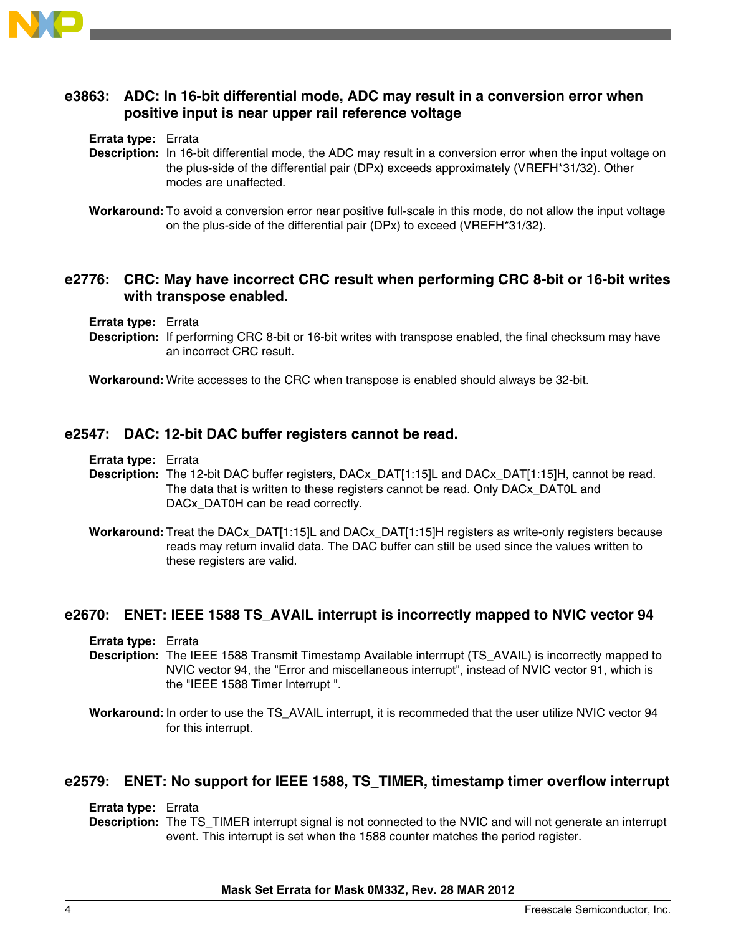

# **e3863: ADC: In 16-bit differential mode, ADC may result in a conversion error when positive input is near upper rail reference voltage**

**Errata type:** Errata

- **Description:** In 16-bit differential mode, the ADC may result in a conversion error when the input voltage on the plus-side of the differential pair (DPx) exceeds approximately (VREFH\*31/32). Other modes are unaffected.
- **Workaround:** To avoid a conversion error near positive full-scale in this mode, do not allow the input voltage on the plus-side of the differential pair (DPx) to exceed (VREFH\*31/32).

# **e2776: CRC: May have incorrect CRC result when performing CRC 8-bit or 16-bit writes with transpose enabled.**

**Errata type:** Errata

**Description:** If performing CRC 8-bit or 16-bit writes with transpose enabled, the final checksum may have an incorrect CRC result.

**Workaround:** Write accesses to the CRC when transpose is enabled should always be 32-bit.

### **e2547: DAC: 12-bit DAC buffer registers cannot be read.**

**Errata type:** Errata

- **Description:** The 12-bit DAC buffer registers, DACx\_DAT[1:15]L and DACx\_DAT[1:15]H, cannot be read. The data that is written to these registers cannot be read. Only DACx\_DAT0L and DACx\_DAT0H can be read correctly.
- **Workaround:** Treat the DACx\_DAT[1:15]L and DACx\_DAT[1:15]H registers as write-only registers because reads may return invalid data. The DAC buffer can still be used since the values written to these registers are valid.

# **e2670: ENET: IEEE 1588 TS\_AVAIL interrupt is incorrectly mapped to NVIC vector 94**

**Errata type:** Errata

- **Description:** The IEEE 1588 Transmit Timestamp Available interrrupt (TS\_AVAIL) is incorrectly mapped to NVIC vector 94, the "Error and miscellaneous interrupt", instead of NVIC vector 91, which is the "IEEE 1588 Timer Interrupt ".
- **Workaround:** In order to use the TS\_AVAIL interrupt, it is recommeded that the user utilize NVIC vector 94 for this interrupt.

### **e2579: ENET: No support for IEEE 1588, TS\_TIMER, timestamp timer overflow interrupt**

**Errata type:** Errata

**Description:** The TS\_TIMER interrupt signal is not connected to the NVIC and will not generate an interrupt event. This interrupt is set when the 1588 counter matches the period register.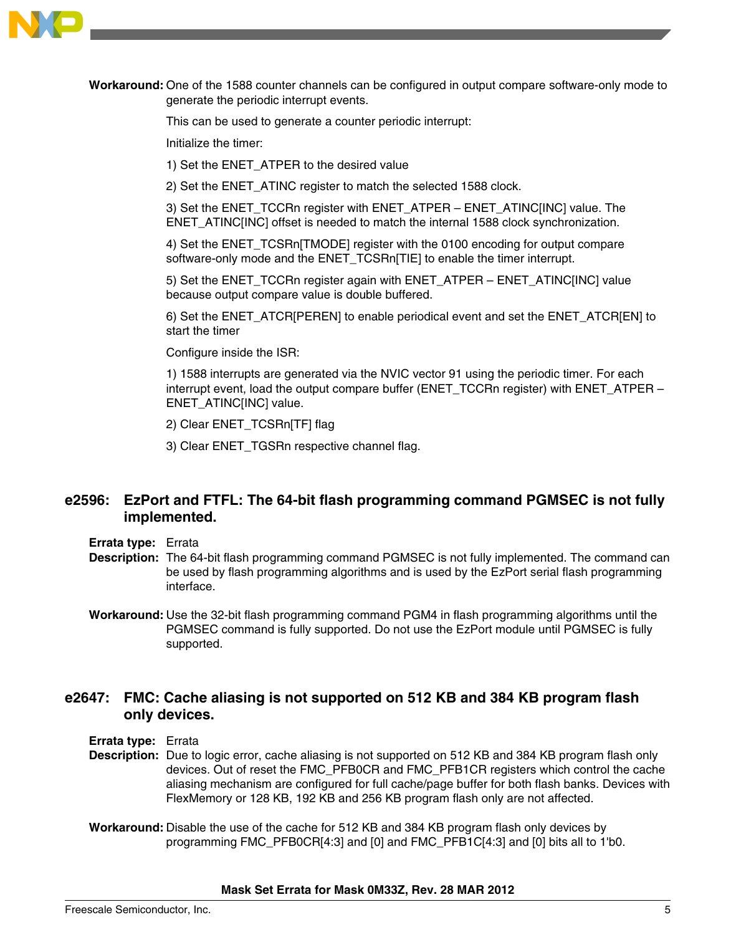

**Workaround:** One of the 1588 counter channels can be configured in output compare software-only mode to generate the periodic interrupt events.

This can be used to generate a counter periodic interrupt:

Initialize the timer:

1) Set the ENET\_ATPER to the desired value

2) Set the ENET\_ATINC register to match the selected 1588 clock.

3) Set the ENET\_TCCRn register with ENET\_ATPER – ENET\_ATINC[INC] value. The ENET\_ATINC[INC] offset is needed to match the internal 1588 clock synchronization.

4) Set the ENET\_TCSRn[TMODE] register with the 0100 encoding for output compare software-only mode and the ENET\_TCSRn[TIE] to enable the timer interrupt.

5) Set the ENET\_TCCRn register again with ENET\_ATPER – ENET\_ATINC[INC] value because output compare value is double buffered.

6) Set the ENET\_ATCR[PEREN] to enable periodical event and set the ENET\_ATCR[EN] to start the timer

Configure inside the ISR:

1) 1588 interrupts are generated via the NVIC vector 91 using the periodic timer. For each interrupt event, load the output compare buffer (ENET\_TCCRn register) with ENET\_ATPER – ENET\_ATINC[INC] value.

2) Clear ENET\_TCSRn[TF] flag

3) Clear ENET\_TGSRn respective channel flag.

# **e2596: EzPort and FTFL: The 64-bit flash programming command PGMSEC is not fully implemented.**

- **Errata type:** Errata
- **Description:** The 64-bit flash programming command PGMSEC is not fully implemented. The command can be used by flash programming algorithms and is used by the EzPort serial flash programming interface.
- **Workaround:** Use the 32-bit flash programming command PGM4 in flash programming algorithms until the PGMSEC command is fully supported. Do not use the EzPort module until PGMSEC is fully supported.

### **e2647: FMC: Cache aliasing is not supported on 512 KB and 384 KB program flash only devices.**

**Errata type:** Errata

**Description:** Due to logic error, cache aliasing is not supported on 512 KB and 384 KB program flash only devices. Out of reset the FMC\_PFB0CR and FMC\_PFB1CR registers which control the cache aliasing mechanism are configured for full cache/page buffer for both flash banks. Devices with FlexMemory or 128 KB, 192 KB and 256 KB program flash only are not affected.

**Workaround:** Disable the use of the cache for 512 KB and 384 KB program flash only devices by programming FMC\_PFB0CR[4:3] and [0] and FMC\_PFB1C[4:3] and [0] bits all to 1'b0.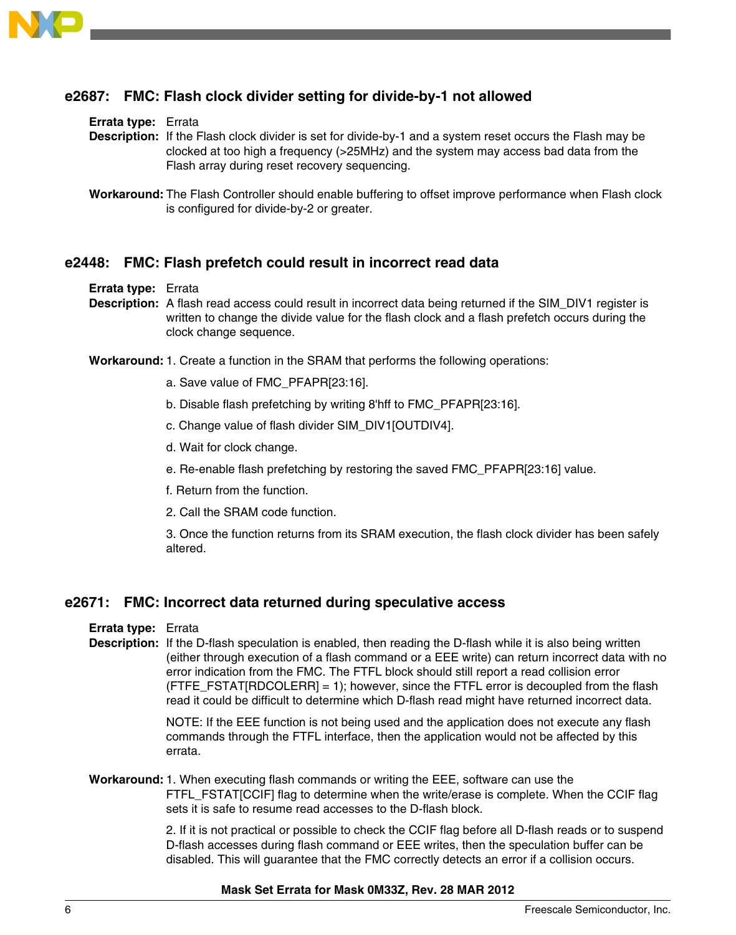

# **e2687: FMC: Flash clock divider setting for divide-by-1 not allowed**

#### **Errata type:** Errata

**Description:** If the Flash clock divider is set for divide-by-1 and a system reset occurs the Flash may be clocked at too high a frequency (>25MHz) and the system may access bad data from the Flash array during reset recovery sequencing.

### **e2448: FMC: Flash prefetch could result in incorrect read data**

#### **Errata type:** Errata

**Description:** A flash read access could result in incorrect data being returned if the SIM\_DIV1 register is written to change the divide value for the flash clock and a flash prefetch occurs during the clock change sequence.

**Workaround:**1. Create a function in the SRAM that performs the following operations:

- a. Save value of FMC\_PFAPR[23:16].
- b. Disable flash prefetching by writing 8'hff to FMC\_PFAPR[23:16].
- c. Change value of flash divider SIM\_DIV1[OUTDIV4].
- d. Wait for clock change.
- e. Re-enable flash prefetching by restoring the saved FMC\_PFAPR[23:16] value.
- f. Return from the function.
- 2. Call the SRAM code function.

3. Once the function returns from its SRAM execution, the flash clock divider has been safely altered.

#### **e2671: FMC: Incorrect data returned during speculative access**

#### **Errata type:** Errata

**Description:** If the D-flash speculation is enabled, then reading the D-flash while it is also being written (either through execution of a flash command or a EEE write) can return incorrect data with no error indication from the FMC. The FTFL block should still report a read collision error (FTFE\_FSTAT[RDCOLERR] = 1); however, since the FTFL error is decoupled from the flash read it could be difficult to determine which D-flash read might have returned incorrect data.

> NOTE: If the EEE function is not being used and the application does not execute any flash commands through the FTFL interface, then the application would not be affected by this errata.

**Workaround:**1. When executing flash commands or writing the EEE, software can use the FTFL\_FSTAT[CCIF] flag to determine when the write/erase is complete. When the CCIF flag sets it is safe to resume read accesses to the D-flash block.

> 2. If it is not practical or possible to check the CCIF flag before all D-flash reads or to suspend D-flash accesses during flash command or EEE writes, then the speculation buffer can be disabled. This will guarantee that the FMC correctly detects an error if a collision occurs.

**Workaround:** The Flash Controller should enable buffering to offset improve performance when Flash clock is configured for divide-by-2 or greater.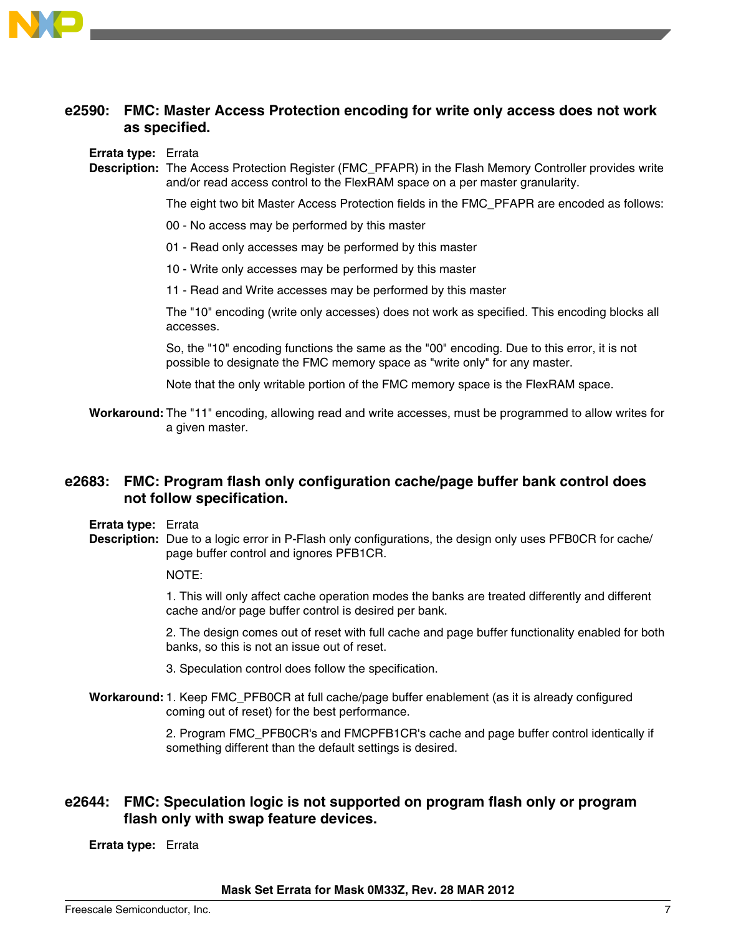

# **e2590: FMC: Master Access Protection encoding for write only access does not work as specified.**

#### **Errata type:** Errata

**Description:** The Access Protection Register (FMC\_PFAPR) in the Flash Memory Controller provides write and/or read access control to the FlexRAM space on a per master granularity.

The eight two bit Master Access Protection fields in the FMC\_PFAPR are encoded as follows:

- 00 No access may be performed by this master
- 01 Read only accesses may be performed by this master
- 10 Write only accesses may be performed by this master
- 11 Read and Write accesses may be performed by this master

The "10" encoding (write only accesses) does not work as specified. This encoding blocks all accesses.

So, the "10" encoding functions the same as the "00" encoding. Due to this error, it is not possible to designate the FMC memory space as "write only" for any master.

Note that the only writable portion of the FMC memory space is the FlexRAM space.

**Workaround:** The "11" encoding, allowing read and write accesses, must be programmed to allow writes for a given master.

# **e2683: FMC: Program flash only configuration cache/page buffer bank control does not follow specification.**

**Errata type:** Errata

**Description:** Due to a logic error in P-Flash only configurations, the design only uses PFB0CR for cache/ page buffer control and ignores PFB1CR.

NOTE:

1. This will only affect cache operation modes the banks are treated differently and different cache and/or page buffer control is desired per bank.

2. The design comes out of reset with full cache and page buffer functionality enabled for both banks, so this is not an issue out of reset.

- 3. Speculation control does follow the specification.
- **Workaround:**1. Keep FMC\_PFB0CR at full cache/page buffer enablement (as it is already configured coming out of reset) for the best performance.

2. Program FMC\_PFB0CR's and FMCPFB1CR's cache and page buffer control identically if something different than the default settings is desired.

# **e2644: FMC: Speculation logic is not supported on program flash only or program flash only with swap feature devices.**

**Errata type:** Errata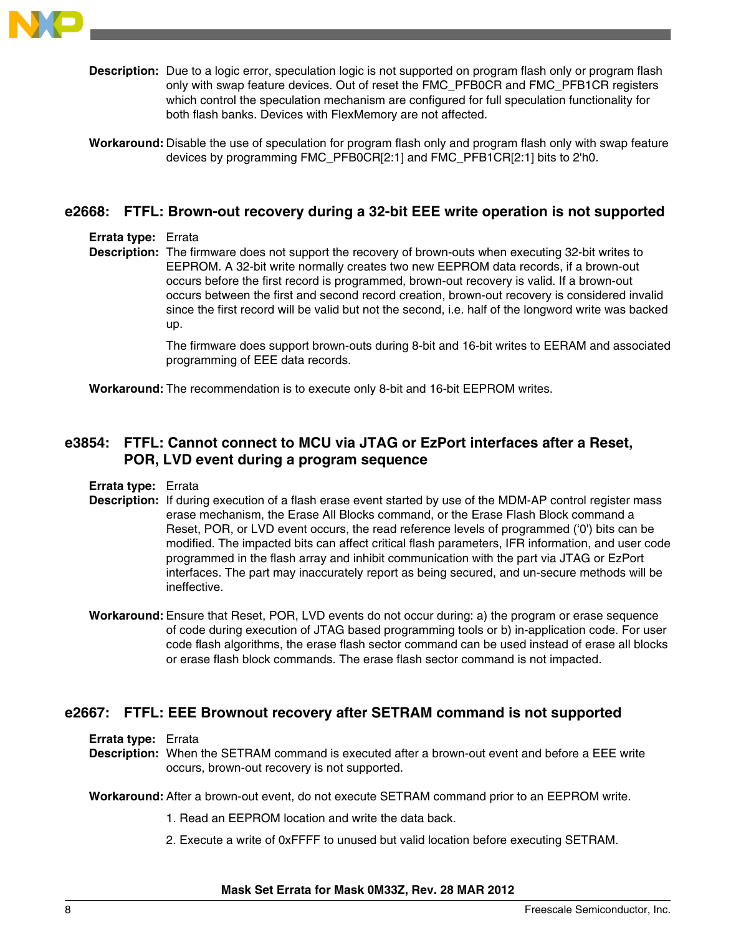

**Description:** Due to a logic error, speculation logic is not supported on program flash only or program flash only with swap feature devices. Out of reset the FMC\_PFB0CR and FMC\_PFB1CR registers which control the speculation mechanism are configured for full speculation functionality for both flash banks. Devices with FlexMemory are not affected.

**Workaround:** Disable the use of speculation for program flash only and program flash only with swap feature devices by programming FMC\_PFB0CR[2:1] and FMC\_PFB1CR[2:1] bits to 2'h0.

### **e2668: FTFL: Brown-out recovery during a 32-bit EEE write operation is not supported**

#### **Errata type:** Errata

**Description:** The firmware does not support the recovery of brown-outs when executing 32-bit writes to EEPROM. A 32-bit write normally creates two new EEPROM data records, if a brown-out occurs before the first record is programmed, brown-out recovery is valid. If a brown-out occurs between the first and second record creation, brown-out recovery is considered invalid since the first record will be valid but not the second, i.e. half of the longword write was backed up.

> The firmware does support brown-outs during 8-bit and 16-bit writes to EERAM and associated programming of EEE data records.

**Workaround:** The recommendation is to execute only 8-bit and 16-bit EEPROM writes.

# **e3854: FTFL: Cannot connect to MCU via JTAG or EzPort interfaces after a Reset, POR, LVD event during a program sequence**

#### **Errata type:** Errata

- **Description:** If during execution of a flash erase event started by use of the MDM-AP control register mass erase mechanism, the Erase All Blocks command, or the Erase Flash Block command a Reset, POR, or LVD event occurs, the read reference levels of programmed ('0') bits can be modified. The impacted bits can affect critical flash parameters, IFR information, and user code programmed in the flash array and inhibit communication with the part via JTAG or EzPort interfaces. The part may inaccurately report as being secured, and un-secure methods will be ineffective.
- **Workaround:** Ensure that Reset, POR, LVD events do not occur during: a) the program or erase sequence of code during execution of JTAG based programming tools or b) in-application code. For user code flash algorithms, the erase flash sector command can be used instead of erase all blocks or erase flash block commands. The erase flash sector command is not impacted.

### **e2667: FTFL: EEE Brownout recovery after SETRAM command is not supported**

**Errata type:** Errata

**Description:** When the SETRAM command is executed after a brown-out event and before a EEE write occurs, brown-out recovery is not supported.

#### **Workaround:** After a brown-out event, do not execute SETRAM command prior to an EEPROM write.

- 1. Read an EEPROM location and write the data back.
- 2. Execute a write of 0xFFFF to unused but valid location before executing SETRAM.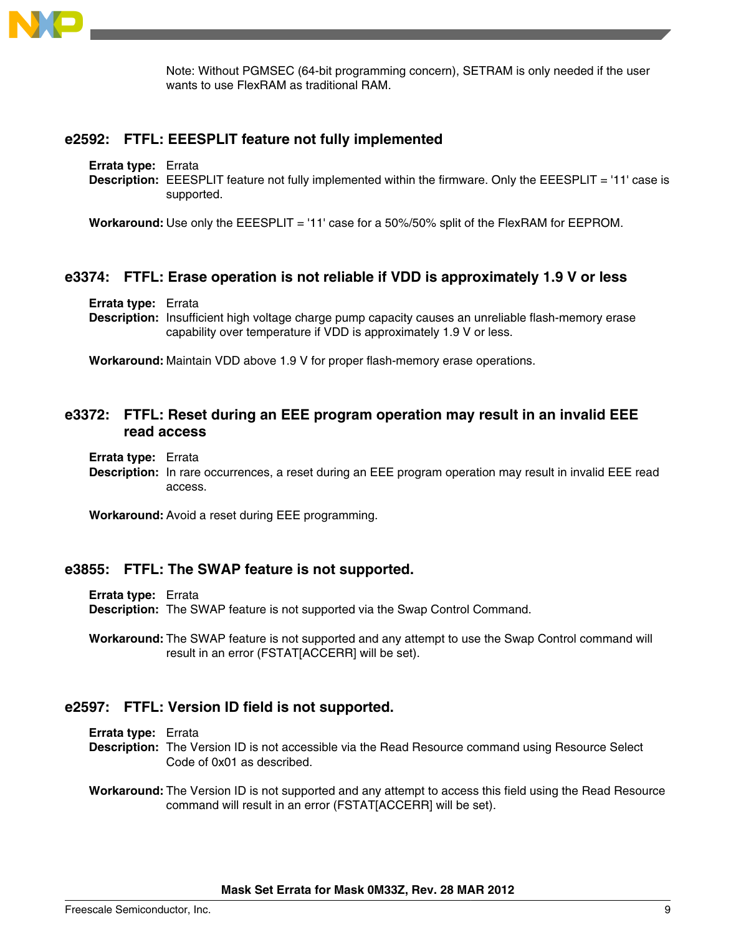

Note: Without PGMSEC (64-bit programming concern), SETRAM is only needed if the user wants to use FlexRAM as traditional RAM

### **e2592: FTFL: EEESPLIT feature not fully implemented**

**Errata type:** Errata

**Description:** EEESPLIT feature not fully implemented within the firmware. Only the EEESPLIT = '11' case is supported.

**Workaround:** Use only the EEESPLIT = '11' case for a 50%/50% split of the FlexRAM for EEPROM.

### **e3374: FTFL: Erase operation is not reliable if VDD is approximately 1.9 V or less**

**Errata type:** Errata

**Description:** Insufficient high voltage charge pump capacity causes an unreliable flash-memory erase capability over temperature if VDD is approximately 1.9 V or less.

**Workaround:** Maintain VDD above 1.9 V for proper flash-memory erase operations.

### **e3372: FTFL: Reset during an EEE program operation may result in an invalid EEE read access**

**Errata type:** Errata

**Description:** In rare occurrences, a reset during an EEE program operation may result in invalid EEE read access.

**Workaround:** Avoid a reset during EEE programming.

#### **e3855: FTFL: The SWAP feature is not supported.**

**Errata type:** Errata

**Description:** The SWAP feature is not supported via the Swap Control Command.

**Workaround:** The SWAP feature is not supported and any attempt to use the Swap Control command will result in an error (FSTAT[ACCERR] will be set).

#### **e2597: FTFL: Version ID field is not supported.**

**Errata type:** Errata

- **Description:** The Version ID is not accessible via the Read Resource command using Resource Select Code of 0x01 as described.
- **Workaround:** The Version ID is not supported and any attempt to access this field using the Read Resource command will result in an error (FSTAT[ACCERR] will be set).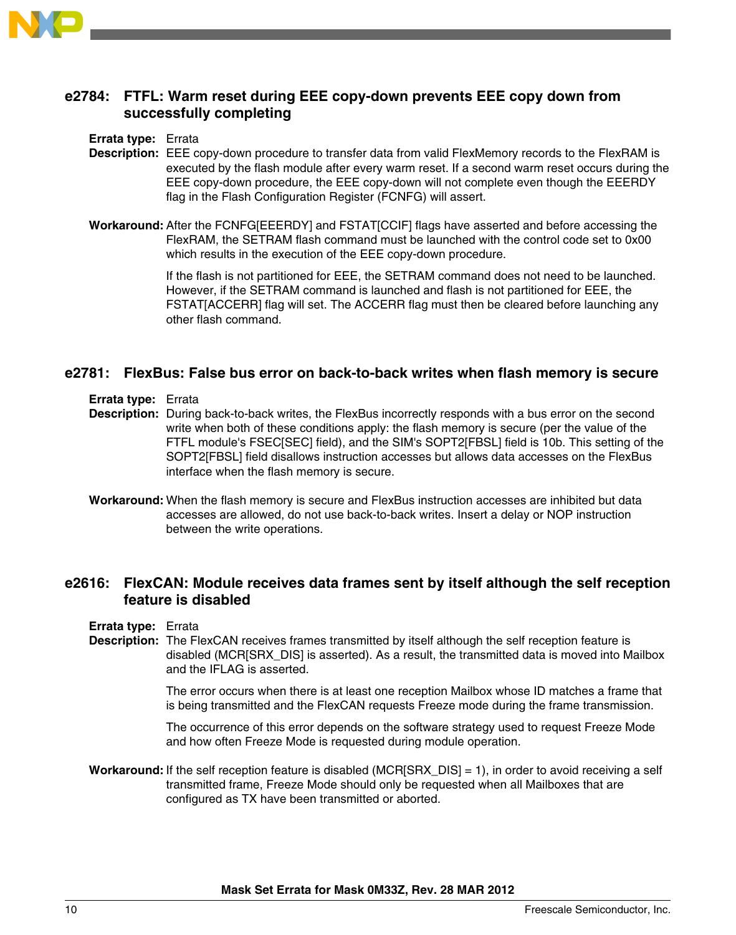

# **e2784: FTFL: Warm reset during EEE copy-down prevents EEE copy down from successfully completing**

### **Errata type:** Errata

- **Description:** EEE copy-down procedure to transfer data from valid FlexMemory records to the FlexRAM is executed by the flash module after every warm reset. If a second warm reset occurs during the EEE copy-down procedure, the EEE copy-down will not complete even though the EEERDY flag in the Flash Configuration Register (FCNFG) will assert.
- **Workaround:** After the FCNFG[EEERDY] and FSTAT[CCIF] flags have asserted and before accessing the FlexRAM, the SETRAM flash command must be launched with the control code set to 0x00 which results in the execution of the EEE copy-down procedure.

If the flash is not partitioned for EEE, the SETRAM command does not need to be launched. However, if the SETRAM command is launched and flash is not partitioned for EEE, the FSTAT[ACCERR] flag will set. The ACCERR flag must then be cleared before launching any other flash command.

### **e2781: FlexBus: False bus error on back-to-back writes when flash memory is secure**

- **Errata type:** Errata
- **Description:** During back-to-back writes, the FlexBus incorrectly responds with a bus error on the second write when both of these conditions apply: the flash memory is secure (per the value of the FTFL module's FSEC[SEC] field), and the SIM's SOPT2[FBSL] field is 10b. This setting of the SOPT2[FBSL] field disallows instruction accesses but allows data accesses on the FlexBus interface when the flash memory is secure.
- **Workaround:** When the flash memory is secure and FlexBus instruction accesses are inhibited but data accesses are allowed, do not use back-to-back writes. Insert a delay or NOP instruction between the write operations.

# **e2616: FlexCAN: Module receives data frames sent by itself although the self reception feature is disabled**

- **Errata type:** Errata
- **Description:** The FlexCAN receives frames transmitted by itself although the self reception feature is disabled (MCR[SRX\_DIS] is asserted). As a result, the transmitted data is moved into Mailbox and the IFLAG is asserted.

The error occurs when there is at least one reception Mailbox whose ID matches a frame that is being transmitted and the FlexCAN requests Freeze mode during the frame transmission.

The occurrence of this error depends on the software strategy used to request Freeze Mode and how often Freeze Mode is requested during module operation.

**Workaround:** If the self reception feature is disabled (MCR[SRX\_DIS] = 1), in order to avoid receiving a self transmitted frame, Freeze Mode should only be requested when all Mailboxes that are configured as TX have been transmitted or aborted.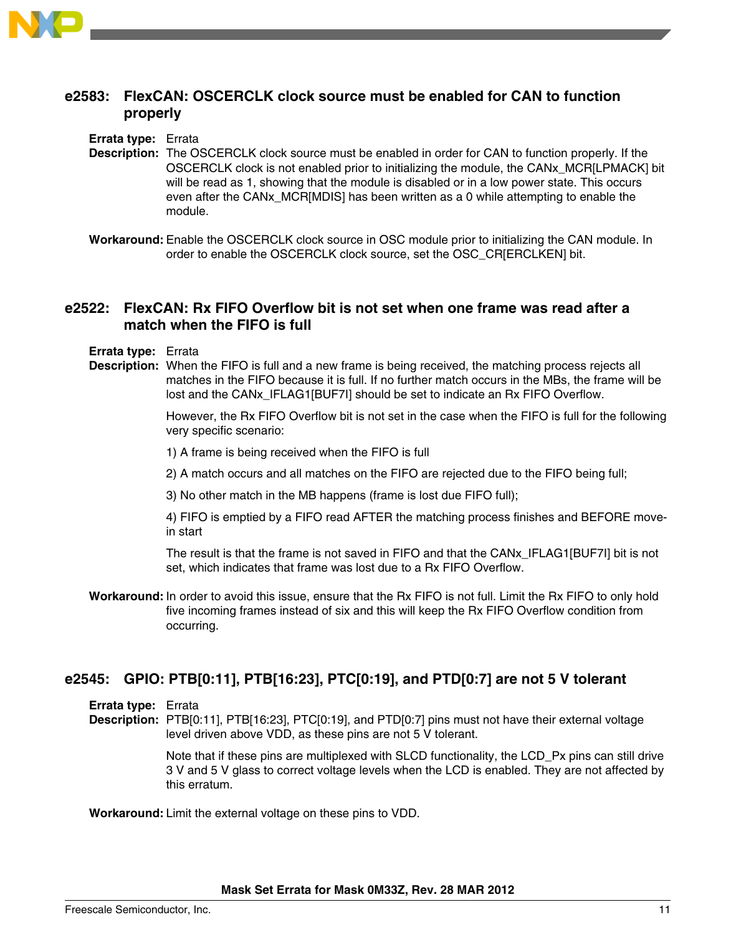

# **e2583: FlexCAN: OSCERCLK clock source must be enabled for CAN to function properly**

**Errata type:** Errata

- **Description:** The OSCERCLK clock source must be enabled in order for CAN to function properly. If the OSCERCLK clock is not enabled prior to initializing the module, the CANx\_MCR[LPMACK] bit will be read as 1, showing that the module is disabled or in a low power state. This occurs even after the CANx\_MCR[MDIS] has been written as a 0 while attempting to enable the module.
- **Workaround:** Enable the OSCERCLK clock source in OSC module prior to initializing the CAN module. In order to enable the OSCERCLK clock source, set the OSC\_CR[ERCLKEN] bit.

### **e2522: FlexCAN: Rx FIFO Overflow bit is not set when one frame was read after a match when the FIFO is full**

- **Errata type:** Errata
- **Description:** When the FIFO is full and a new frame is being received, the matching process rejects all matches in the FIFO because it is full. If no further match occurs in the MBs, the frame will be lost and the CANx\_IFLAG1[BUF7I] should be set to indicate an Rx FIFO Overflow.

However, the Rx FIFO Overflow bit is not set in the case when the FIFO is full for the following very specific scenario:

1) A frame is being received when the FIFO is full

2) A match occurs and all matches on the FIFO are rejected due to the FIFO being full;

3) No other match in the MB happens (frame is lost due FIFO full);

4) FIFO is emptied by a FIFO read AFTER the matching process finishes and BEFORE movein start

The result is that the frame is not saved in FIFO and that the CANx\_IFLAG1[BUF7I] bit is not set, which indicates that frame was lost due to a Rx FIFO Overflow.

**Workaround:** In order to avoid this issue, ensure that the Rx FIFO is not full. Limit the Rx FIFO to only hold five incoming frames instead of six and this will keep the Rx FIFO Overflow condition from occurring.

# **e2545: GPIO: PTB[0:11], PTB[16:23], PTC[0:19], and PTD[0:7] are not 5 V tolerant**

**Errata type:** Errata

**Description:** PTB[0:11], PTB[16:23], PTC[0:19], and PTD[0:7] pins must not have their external voltage level driven above VDD, as these pins are not 5 V tolerant.

> Note that if these pins are multiplexed with SLCD functionality, the LCD\_Px pins can still drive 3 V and 5 V glass to correct voltage levels when the LCD is enabled. They are not affected by this erratum.

**Workaround:**Limit the external voltage on these pins to VDD.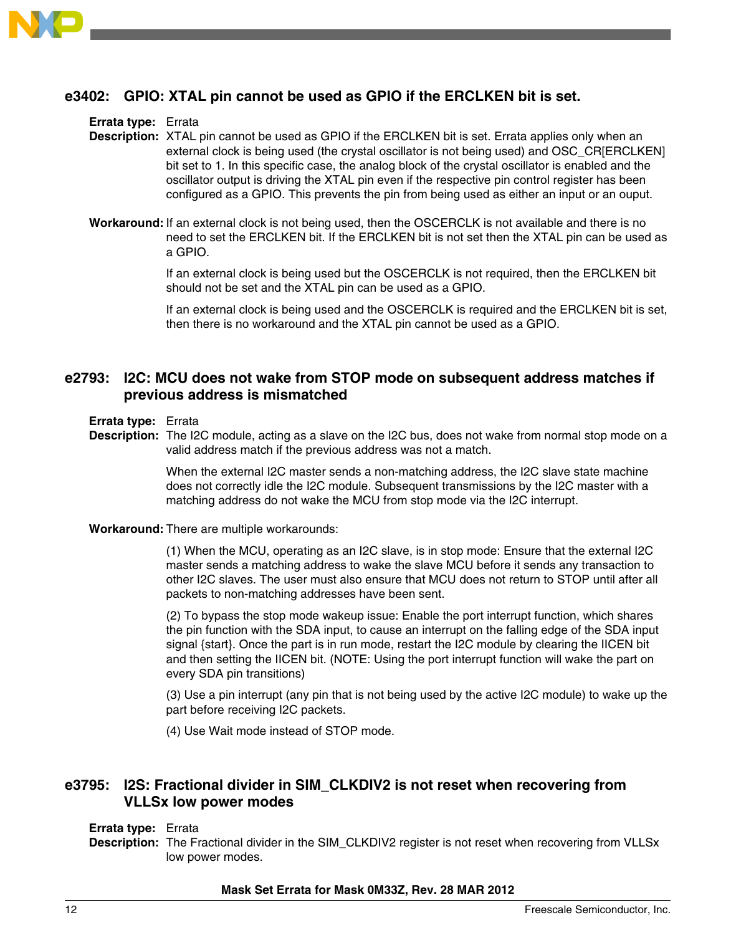

# **e3402: GPIO: XTAL pin cannot be used as GPIO if the ERCLKEN bit is set.**

#### **Errata type:** Errata

**Description:** XTAL pin cannot be used as GPIO if the ERCLKEN bit is set. Errata applies only when an external clock is being used (the crystal oscillator is not being used) and OSC\_CR[ERCLKEN] bit set to 1. In this specific case, the analog block of the crystal oscillator is enabled and the oscillator output is driving the XTAL pin even if the respective pin control register has been configured as a GPIO. This prevents the pin from being used as either an input or an ouput.

**Workaround:** If an external clock is not being used, then the OSCERCLK is not available and there is no need to set the ERCLKEN bit. If the ERCLKEN bit is not set then the XTAL pin can be used as a GPIO.

> If an external clock is being used but the OSCERCLK is not required, then the ERCLKEN bit should not be set and the XTAL pin can be used as a GPIO.

If an external clock is being used and the OSCERCLK is required and the ERCLKEN bit is set, then there is no workaround and the XTAL pin cannot be used as a GPIO.

# **e2793: I2C: MCU does not wake from STOP mode on subsequent address matches if previous address is mismatched**

#### **Errata type:** Errata

**Description:** The I2C module, acting as a slave on the I2C bus, does not wake from normal stop mode on a valid address match if the previous address was not a match.

> When the external I2C master sends a non-matching address, the I2C slave state machine does not correctly idle the I2C module. Subsequent transmissions by the I2C master with a matching address do not wake the MCU from stop mode via the I2C interrupt.

**Workaround:** There are multiple workarounds:

(1) When the MCU, operating as an I2C slave, is in stop mode: Ensure that the external I2C master sends a matching address to wake the slave MCU before it sends any transaction to other I2C slaves. The user must also ensure that MCU does not return to STOP until after all packets to non-matching addresses have been sent.

(2) To bypass the stop mode wakeup issue: Enable the port interrupt function, which shares the pin function with the SDA input, to cause an interrupt on the falling edge of the SDA input signal {start}. Once the part is in run mode, restart the I2C module by clearing the IICEN bit and then setting the IICEN bit. (NOTE: Using the port interrupt function will wake the part on every SDA pin transitions)

(3) Use a pin interrupt (any pin that is not being used by the active I2C module) to wake up the part before receiving I2C packets.

(4) Use Wait mode instead of STOP mode.

# **e3795: I2S: Fractional divider in SIM\_CLKDIV2 is not reset when recovering from VLLSx low power modes**

#### **Errata type:** Errata

**Description:** The Fractional divider in the SIM\_CLKDIV2 register is not reset when recovering from VLLSx low power modes.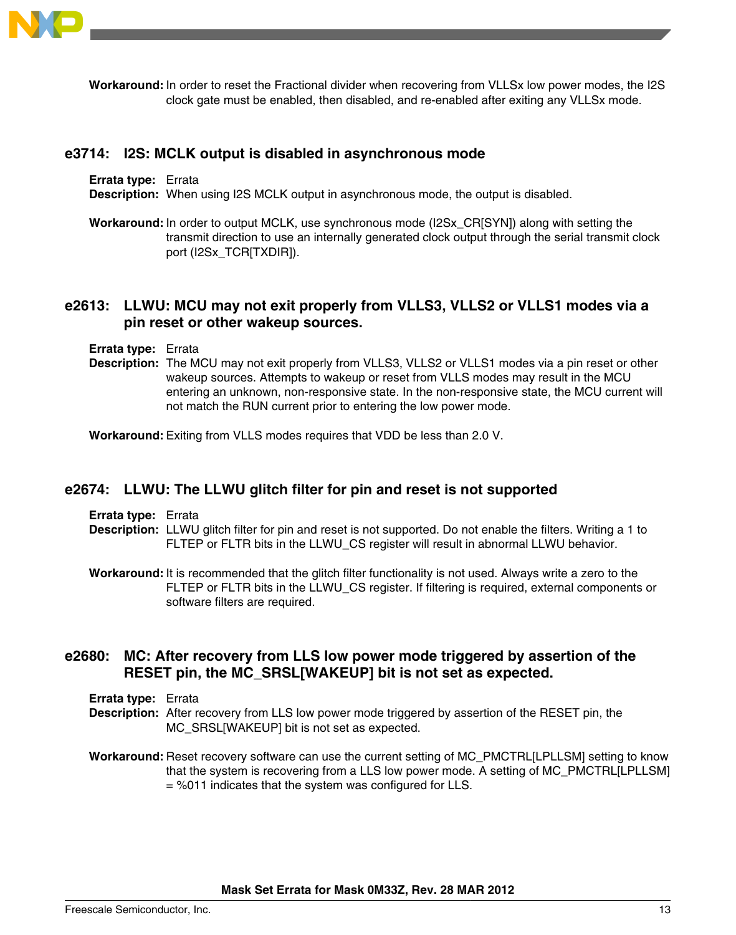

**Workaround:** In order to reset the Fractional divider when recovering from VLLSx low power modes, the I2S clock gate must be enabled, then disabled, and re-enabled after exiting any VLLSx mode.

### **e3714: I2S: MCLK output is disabled in asynchronous mode**

**Errata type:** Errata

**Description:** When using I2S MCLK output in asynchronous mode, the output is disabled.

**Workaround:** In order to output MCLK, use synchronous mode (I2Sx\_CR[SYN]) along with setting the transmit direction to use an internally generated clock output through the serial transmit clock port (I2Sx\_TCR[TXDIR]).

# **e2613: LLWU: MCU may not exit properly from VLLS3, VLLS2 or VLLS1 modes via a pin reset or other wakeup sources.**

- **Errata type:** Errata
- **Description:** The MCU may not exit properly from VLLS3, VLLS2 or VLLS1 modes via a pin reset or other wakeup sources. Attempts to wakeup or reset from VLLS modes may result in the MCU entering an unknown, non-responsive state. In the non-responsive state, the MCU current will not match the RUN current prior to entering the low power mode.

**Workaround:** Exiting from VLLS modes requires that VDD be less than 2.0 V.

### **e2674: LLWU: The LLWU glitch filter for pin and reset is not supported**

**Errata type:** Errata

**Description:** LLWU glitch filter for pin and reset is not supported. Do not enable the filters. Writing a 1 to FLTEP or FLTR bits in the LLWU\_CS register will result in abnormal LLWU behavior.

**Workaround:** It is recommended that the glitch filter functionality is not used. Always write a zero to the FLTEP or FLTR bits in the LLWU\_CS register. If filtering is required, external components or software filters are required.

# **e2680: MC: After recovery from LLS low power mode triggered by assertion of the RESET pin, the MC\_SRSL[WAKEUP] bit is not set as expected.**

- **Errata type:** Errata
- **Description:** After recovery from LLS low power mode triggered by assertion of the RESET pin, the MC\_SRSL[WAKEUP] bit is not set as expected.
- **Workaround:** Reset recovery software can use the current setting of MC\_PMCTRL[LPLLSM] setting to know that the system is recovering from a LLS low power mode. A setting of MC\_PMCTRL[LPLLSM] = %011 indicates that the system was configured for LLS.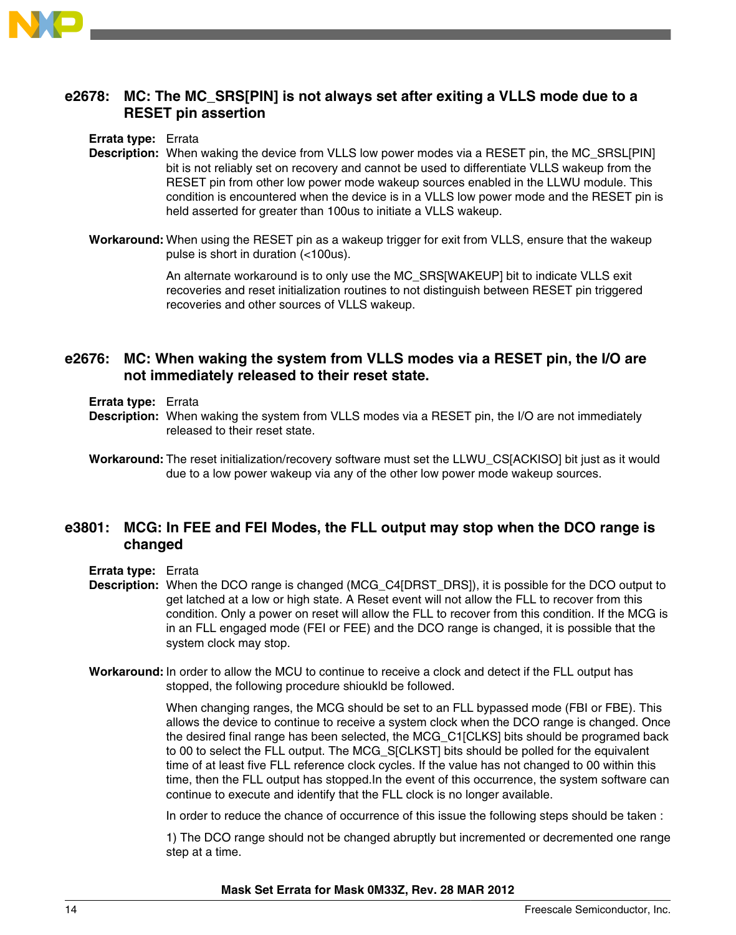

# **e2678: MC: The MC\_SRS[PIN] is not always set after exiting a VLLS mode due to a RESET pin assertion**

#### **Errata type:** Errata

- **Description:** When waking the device from VLLS low power modes via a RESET pin, the MC\_SRSL[PIN] bit is not reliably set on recovery and cannot be used to differentiate VLLS wakeup from the RESET pin from other low power mode wakeup sources enabled in the LLWU module. This condition is encountered when the device is in a VLLS low power mode and the RESET pin is held asserted for greater than 100us to initiate a VLLS wakeup.
- **Workaround:** When using the RESET pin as a wakeup trigger for exit from VLLS, ensure that the wakeup pulse is short in duration (<100us).

An alternate workaround is to only use the MC\_SRS[WAKEUP] bit to indicate VLLS exit recoveries and reset initialization routines to not distinguish between RESET pin triggered recoveries and other sources of VLLS wakeup.

# **e2676: MC: When waking the system from VLLS modes via a RESET pin, the I/O are not immediately released to their reset state.**

- **Errata type:** Errata
- **Description:** When waking the system from VLLS modes via a RESET pin, the I/O are not immediately released to their reset state.
- **Workaround:** The reset initialization/recovery software must set the LLWU\_CS[ACKISO] bit just as it would due to a low power wakeup via any of the other low power mode wakeup sources.

# **e3801: MCG: In FEE and FEI Modes, the FLL output may stop when the DCO range is changed**

- **Errata type:** Errata
- **Description:** When the DCO range is changed (MCG\_C4[DRST\_DRS]), it is possible for the DCO output to get latched at a low or high state. A Reset event will not allow the FLL to recover from this condition. Only a power on reset will allow the FLL to recover from this condition. If the MCG is in an FLL engaged mode (FEI or FEE) and the DCO range is changed, it is possible that the system clock may stop.
- **Workaround:** In order to allow the MCU to continue to receive a clock and detect if the FLL output has stopped, the following procedure shioukld be followed.

When changing ranges, the MCG should be set to an FLL bypassed mode (FBI or FBE). This allows the device to continue to receive a system clock when the DCO range is changed. Once the desired final range has been selected, the MCG\_C1[CLKS] bits should be programed back to 00 to select the FLL output. The MCG\_S[CLKST] bits should be polled for the equivalent time of at least five FLL reference clock cycles. If the value has not changed to 00 within this time, then the FLL output has stopped.In the event of this occurrence, the system software can continue to execute and identify that the FLL clock is no longer available.

In order to reduce the chance of occurrence of this issue the following steps should be taken :

1) The DCO range should not be changed abruptly but incremented or decremented one range step at a time.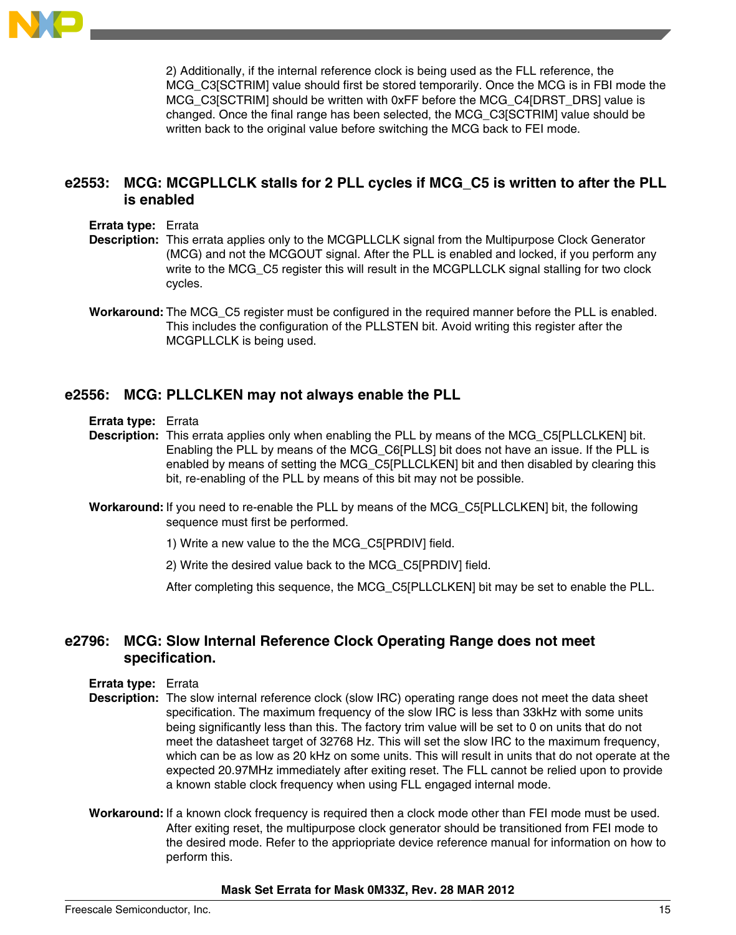

2) Additionally, if the internal reference clock is being used as the FLL reference, the MCG\_C3[SCTRIM] value should first be stored temporarily. Once the MCG is in FBI mode the MCG\_C3[SCTRIM] should be written with 0xFF before the MCG\_C4[DRST\_DRS] value is changed. Once the final range has been selected, the MCG\_C3[SCTRIM] value should be written back to the original value before switching the MCG back to FEI mode.

# **e2553: MCG: MCGPLLCLK stalls for 2 PLL cycles if MCG\_C5 is written to after the PLL is enabled**

- **Errata type:** Errata
- **Description:** This errata applies only to the MCGPLLCLK signal from the Multipurpose Clock Generator (MCG) and not the MCGOUT signal. After the PLL is enabled and locked, if you perform any write to the MCG\_C5 register this will result in the MCGPLLCLK signal stalling for two clock cycles.
- **Workaround:** The MCG\_C5 register must be configured in the required manner before the PLL is enabled. This includes the configuration of the PLLSTEN bit. Avoid writing this register after the MCGPLLCLK is being used.

### **e2556: MCG: PLLCLKEN may not always enable the PLL**

**Errata type:** Errata

- **Description:** This errata applies only when enabling the PLL by means of the MCG\_C5[PLLCLKEN] bit. Enabling the PLL by means of the MCG\_C6[PLLS] bit does not have an issue. If the PLL is enabled by means of setting the MCG\_C5[PLLCLKEN] bit and then disabled by clearing this bit, re-enabling of the PLL by means of this bit may not be possible.
- **Workaround:** If you need to re-enable the PLL by means of the MCG\_C5[PLLCLKEN] bit, the following sequence must first be performed.
	- 1) Write a new value to the the MCG\_C5[PRDIV] field.
	- 2) Write the desired value back to the MCG\_C5[PRDIV] field.

After completing this sequence, the MCG\_C5[PLLCLKEN] bit may be set to enable the PLL.

# **e2796: MCG: Slow Internal Reference Clock Operating Range does not meet specification.**

- **Errata type:** Errata
- **Description:** The slow internal reference clock (slow IRC) operating range does not meet the data sheet specification. The maximum frequency of the slow IRC is less than 33kHz with some units being significantly less than this. The factory trim value will be set to 0 on units that do not meet the datasheet target of 32768 Hz. This will set the slow IRC to the maximum frequency, which can be as low as 20 kHz on some units. This will result in units that do not operate at the expected 20.97MHz immediately after exiting reset. The FLL cannot be relied upon to provide a known stable clock frequency when using FLL engaged internal mode.
- **Workaround:** If a known clock frequency is required then a clock mode other than FEI mode must be used. After exiting reset, the multipurpose clock generator should be transitioned from FEI mode to the desired mode. Refer to the appriopriate device reference manual for information on how to perform this.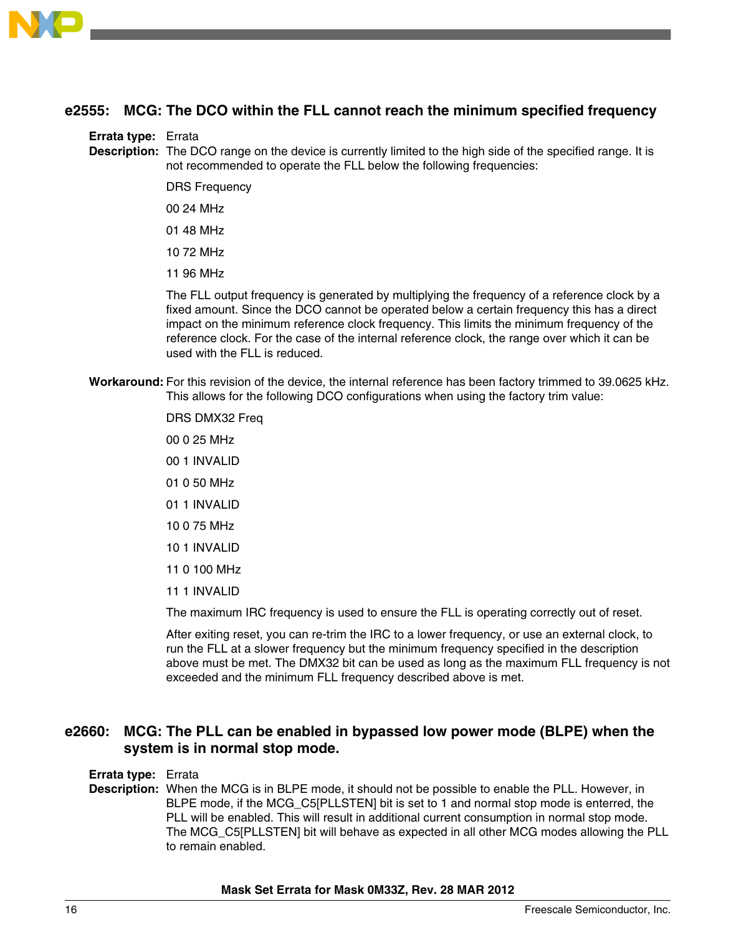

# **e2555: MCG: The DCO within the FLL cannot reach the minimum specified frequency**

#### **Errata type:** Errata

**Description:** The DCO range on the device is currently limited to the high side of the specified range. It is not recommended to operate the FLL below the following frequencies:

- DRS Frequency
- 00 24 MHz
- 01 48 MHz
- 10 72 MHz
- 11 96 MHz

The FLL output frequency is generated by multiplying the frequency of a reference clock by a fixed amount. Since the DCO cannot be operated below a certain frequency this has a direct impact on the minimum reference clock frequency. This limits the minimum frequency of the reference clock. For the case of the internal reference clock, the range over which it can be used with the FLL is reduced.

**Workaround:** For this revision of the device, the internal reference has been factory trimmed to 39.0625 kHz. This allows for the following DCO configurations when using the factory trim value:

> DRS DMX32 Freq 00 0 25 MHz 00 1 INVALID 01 0 50 MHz 01 1 INVALID 10 0 75 MHz 10 1 INVALID 11 0 100 MHz 11 1 INVALID The maximum IRC frequency is used to ensure the FLL is operating correctly out of reset.

After exiting reset, you can re-trim the IRC to a lower frequency, or use an external clock, to run the FLL at a slower frequency but the minimum frequency specified in the description

above must be met. The DMX32 bit can be used as long as the maximum FLL frequency is not exceeded and the minimum FLL frequency described above is met.

# **e2660: MCG: The PLL can be enabled in bypassed low power mode (BLPE) when the system is in normal stop mode.**

#### **Errata type:** Errata

**Description:** When the MCG is in BLPE mode, it should not be possible to enable the PLL. However, in BLPE mode, if the MCG\_C5[PLLSTEN] bit is set to 1 and normal stop mode is enterred, the PLL will be enabled. This will result in additional current consumption in normal stop mode. The MCG\_C5[PLLSTEN] bit will behave as expected in all other MCG modes allowing the PLL to remain enabled.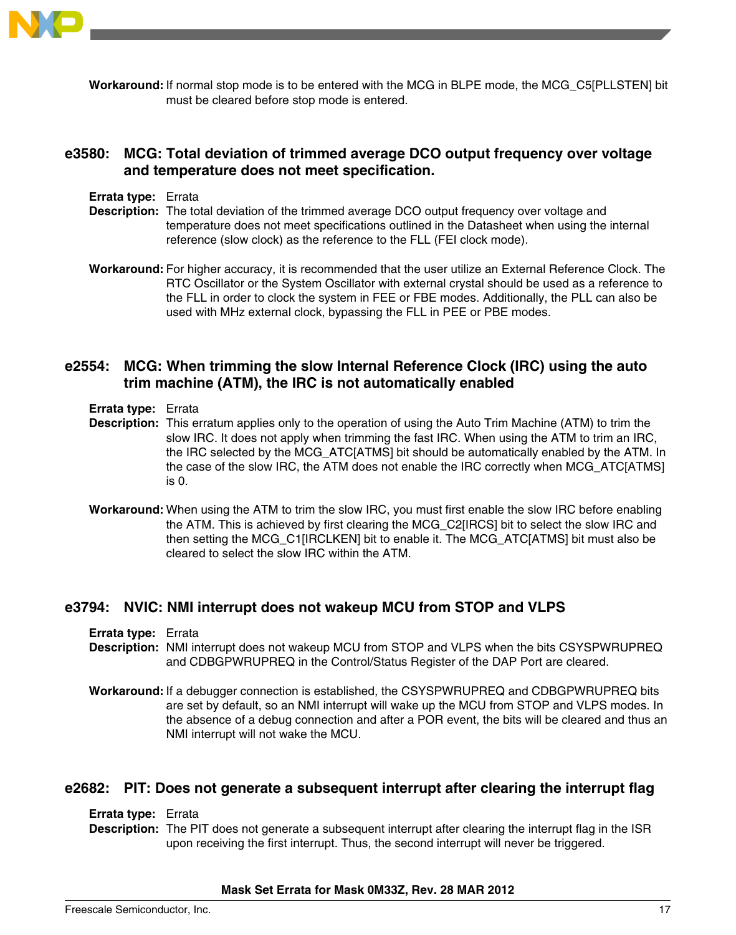

**Workaround:** If normal stop mode is to be entered with the MCG in BLPE mode, the MCG\_C5[PLLSTEN] bit must be cleared before stop mode is entered.

# **e3580: MCG: Total deviation of trimmed average DCO output frequency over voltage and temperature does not meet specification.**

- **Errata type:** Errata
- **Description:** The total deviation of the trimmed average DCO output frequency over voltage and temperature does not meet specifications outlined in the Datasheet when using the internal reference (slow clock) as the reference to the FLL (FEI clock mode).
- **Workaround:** For higher accuracy, it is recommended that the user utilize an External Reference Clock. The RTC Oscillator or the System Oscillator with external crystal should be used as a reference to the FLL in order to clock the system in FEE or FBE modes. Additionally, the PLL can also be used with MHz external clock, bypassing the FLL in PEE or PBE modes.

# **e2554: MCG: When trimming the slow Internal Reference Clock (IRC) using the auto trim machine (ATM), the IRC is not automatically enabled**

- **Errata type:** Errata
- **Description:** This erratum applies only to the operation of using the Auto Trim Machine (ATM) to trim the slow IRC. It does not apply when trimming the fast IRC. When using the ATM to trim an IRC, the IRC selected by the MCG\_ATC[ATMS] bit should be automatically enabled by the ATM. In the case of the slow IRC, the ATM does not enable the IRC correctly when MCG\_ATC[ATMS] is 0.
- **Workaround:** When using the ATM to trim the slow IRC, you must first enable the slow IRC before enabling the ATM. This is achieved by first clearing the MCG\_C2[IRCS] bit to select the slow IRC and then setting the MCG\_C1[IRCLKEN] bit to enable it. The MCG\_ATC[ATMS] bit must also be cleared to select the slow IRC within the ATM.

# **e3794: NVIC: NMI interrupt does not wakeup MCU from STOP and VLPS**

**Errata type:** Errata

- **Description:** NMI interrupt does not wakeup MCU from STOP and VLPS when the bits CSYSPWRUPREQ and CDBGPWRUPREQ in the Control/Status Register of the DAP Port are cleared.
- **Workaround:** If a debugger connection is established, the CSYSPWRUPREQ and CDBGPWRUPREQ bits are set by default, so an NMI interrupt will wake up the MCU from STOP and VLPS modes. In the absence of a debug connection and after a POR event, the bits will be cleared and thus an NMI interrupt will not wake the MCU.

### **e2682: PIT: Does not generate a subsequent interrupt after clearing the interrupt flag**

#### **Errata type:** Errata

**Description:** The PIT does not generate a subsequent interrupt after clearing the interrupt flag in the ISR upon receiving the first interrupt. Thus, the second interrupt will never be triggered.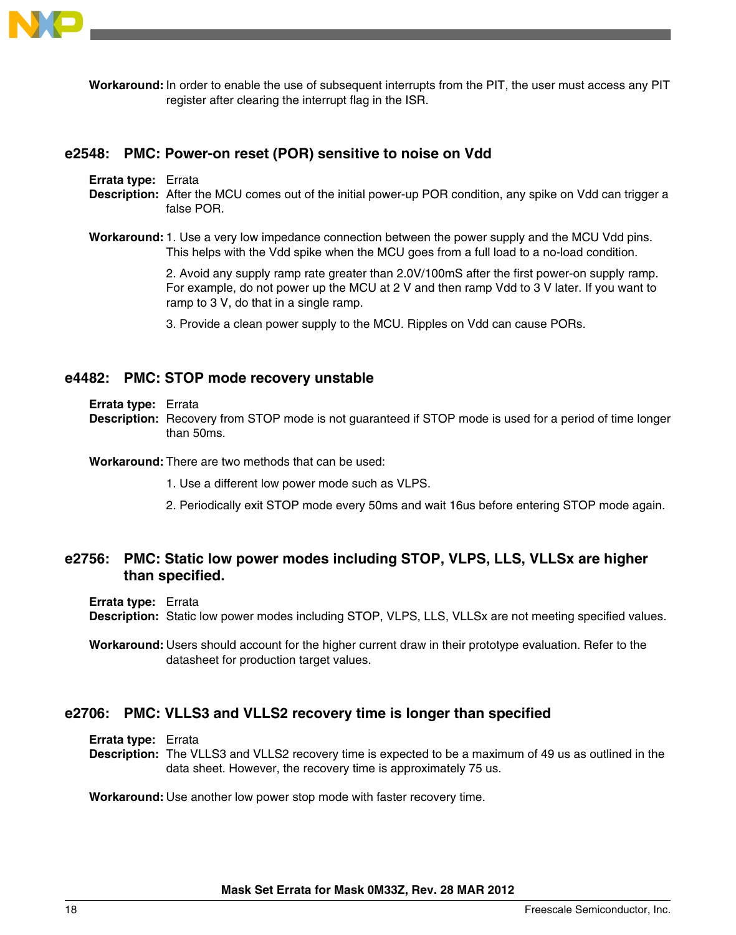

**Workaround:** In order to enable the use of subsequent interrupts from the PIT, the user must access any PIT register after clearing the interrupt flag in the ISR.

#### **e2548: PMC: Power-on reset (POR) sensitive to noise on Vdd**

**Errata type:** Errata

- **Description:** After the MCU comes out of the initial power-up POR condition, any spike on Vdd can trigger a false POR.
- **Workaround:**1. Use a very low impedance connection between the power supply and the MCU Vdd pins. This helps with the Vdd spike when the MCU goes from a full load to a no-load condition.

2. Avoid any supply ramp rate greater than 2.0V/100mS after the first power-on supply ramp. For example, do not power up the MCU at 2 V and then ramp Vdd to 3 V later. If you want to ramp to 3 V, do that in a single ramp.

3. Provide a clean power supply to the MCU. Ripples on Vdd can cause PORs.

### **e4482: PMC: STOP mode recovery unstable**

- **Errata type:** Errata
- **Description:** Recovery from STOP mode is not guaranteed if STOP mode is used for a period of time longer than 50ms.

#### **Workaround:** There are two methods that can be used:

- 1. Use a different low power mode such as VLPS.
- 2. Periodically exit STOP mode every 50ms and wait 16us before entering STOP mode again.

# **e2756: PMC: Static low power modes including STOP, VLPS, LLS, VLLSx are higher than specified.**

**Errata type:** Errata

**Description:** Static low power modes including STOP, VLPS, LLS, VLLSx are not meeting specified values.

**Workaround:** Users should account for the higher current draw in their prototype evaluation. Refer to the datasheet for production target values.

### **e2706: PMC: VLLS3 and VLLS2 recovery time is longer than specified**

**Errata type:** Errata

**Description:** The VLLS3 and VLLS2 recovery time is expected to be a maximum of 49 us as outlined in the data sheet. However, the recovery time is approximately 75 us.

**Workaround:** Use another low power stop mode with faster recovery time.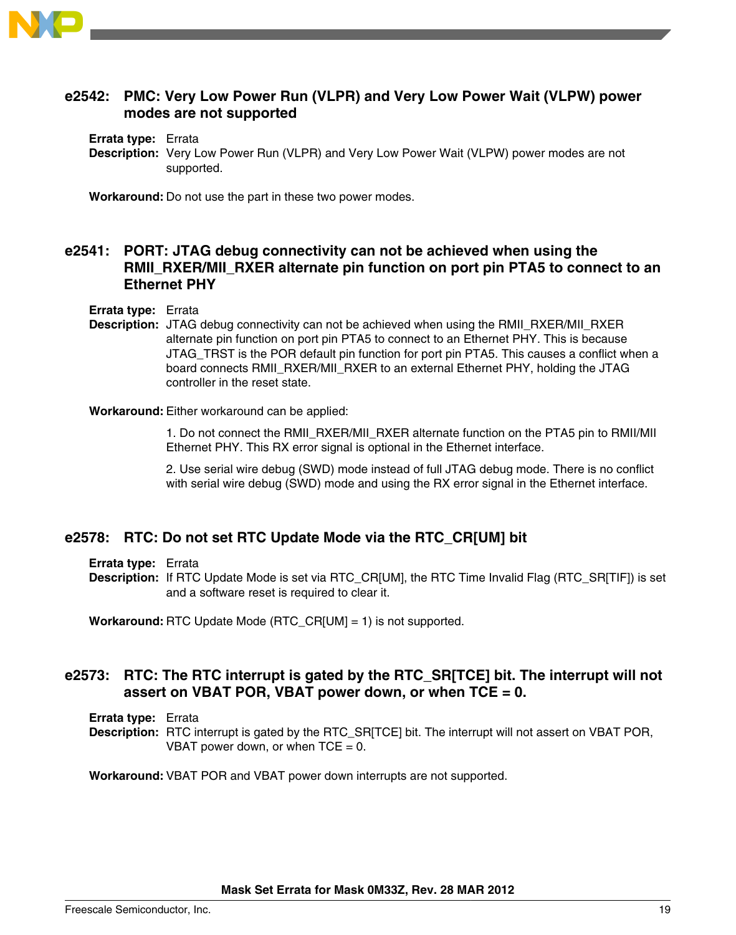

# **e2542: PMC: Very Low Power Run (VLPR) and Very Low Power Wait (VLPW) power modes are not supported**

**Errata type:** Errata

**Description:** Very Low Power Run (VLPR) and Very Low Power Wait (VLPW) power modes are not supported.

**Workaround:** Do not use the part in these two power modes.

# **e2541: PORT: JTAG debug connectivity can not be achieved when using the RMII\_RXER/MII\_RXER alternate pin function on port pin PTA5 to connect to an Ethernet PHY**

**Errata type:** Errata

**Description:** JTAG debug connectivity can not be achieved when using the RMII\_RXER/MII\_RXER alternate pin function on port pin PTA5 to connect to an Ethernet PHY. This is because JTAG\_TRST is the POR default pin function for port pin PTA5. This causes a conflict when a board connects RMII\_RXER/MII\_RXER to an external Ethernet PHY, holding the JTAG controller in the reset state.

**Workaround:** Either workaround can be applied:

1. Do not connect the RMII\_RXER/MII\_RXER alternate function on the PTA5 pin to RMII/MII Ethernet PHY. This RX error signal is optional in the Ethernet interface.

2. Use serial wire debug (SWD) mode instead of full JTAG debug mode. There is no conflict with serial wire debug (SWD) mode and using the RX error signal in the Ethernet interface.

# **e2578: RTC: Do not set RTC Update Mode via the RTC\_CR[UM] bit**

**Errata type:** Errata

**Description:** If RTC Update Mode is set via RTC\_CR[UM], the RTC Time Invalid Flag (RTC\_SR[TIF]) is set and a software reset is required to clear it.

**Workaround:** RTC Update Mode (RTC\_CR[UM] = 1) is not supported.

# **e2573: RTC: The RTC interrupt is gated by the RTC\_SR[TCE] bit. The interrupt will not assert on VBAT POR, VBAT power down, or when TCE = 0.**

**Errata type:** Errata

**Description:** RTC interrupt is gated by the RTC\_SR[TCE] bit. The interrupt will not assert on VBAT POR, VBAT power down, or when  $TCE = 0$ .

**Workaround:** VBAT POR and VBAT power down interrupts are not supported.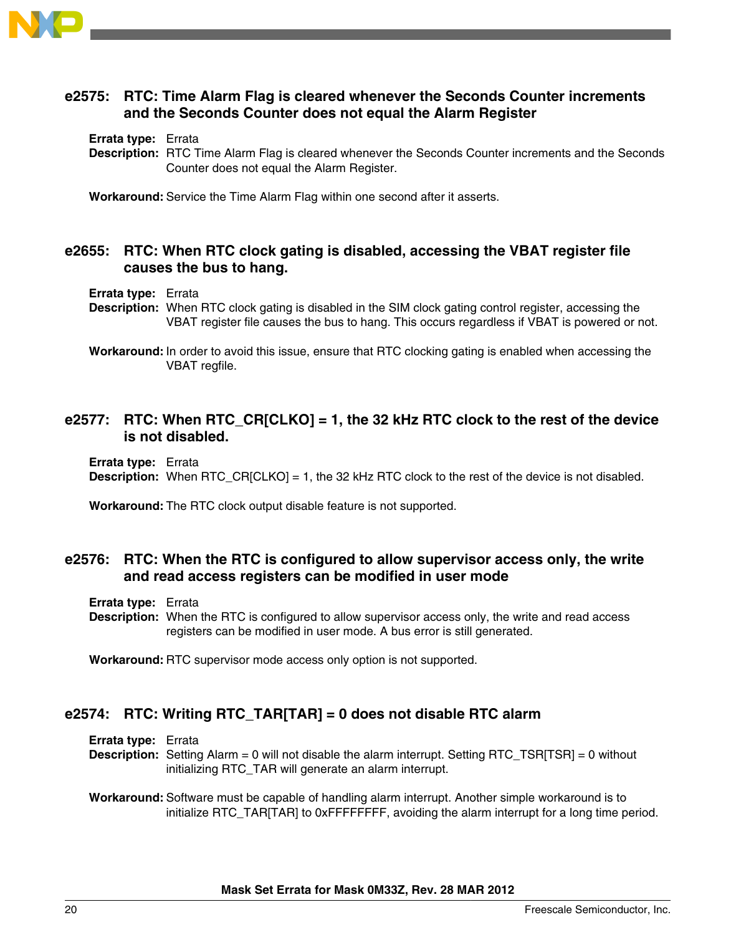

# **e2575: RTC: Time Alarm Flag is cleared whenever the Seconds Counter increments and the Seconds Counter does not equal the Alarm Register**

#### **Errata type:** Errata

**Description:** RTC Time Alarm Flag is cleared whenever the Seconds Counter increments and the Seconds Counter does not equal the Alarm Register.

**Workaround:** Service the Time Alarm Flag within one second after it asserts.

### **e2655: RTC: When RTC clock gating is disabled, accessing the VBAT register file causes the bus to hang.**

#### **Errata type:** Errata

**Description:** When RTC clock gating is disabled in the SIM clock gating control register, accessing the VBAT register file causes the bus to hang. This occurs regardless if VBAT is powered or not.

**Workaround:** In order to avoid this issue, ensure that RTC clocking gating is enabled when accessing the VBAT regfile.

# **e2577: RTC: When RTC\_CR[CLKO] = 1, the 32 kHz RTC clock to the rest of the device is not disabled.**

**Errata type:** Errata

**Description:** When RTC\_CR[CLKO] = 1, the 32 kHz RTC clock to the rest of the device is not disabled.

**Workaround:** The RTC clock output disable feature is not supported.

# **e2576: RTC: When the RTC is configured to allow supervisor access only, the write and read access registers can be modified in user mode**

**Errata type:** Errata

**Description:** When the RTC is configured to allow supervisor access only, the write and read access registers can be modified in user mode. A bus error is still generated.

**Workaround:** RTC supervisor mode access only option is not supported.

# **e2574: RTC: Writing RTC\_TAR[TAR] = 0 does not disable RTC alarm**

**Errata type:** Errata

**Description:** Setting Alarm = 0 will not disable the alarm interrupt. Setting RTC\_TSR[TSR] = 0 without initializing RTC\_TAR will generate an alarm interrupt.

#### **Workaround:** Software must be capable of handling alarm interrupt. Another simple workaround is to initialize RTC\_TAR[TAR] to 0xFFFFFFFF, avoiding the alarm interrupt for a long time period.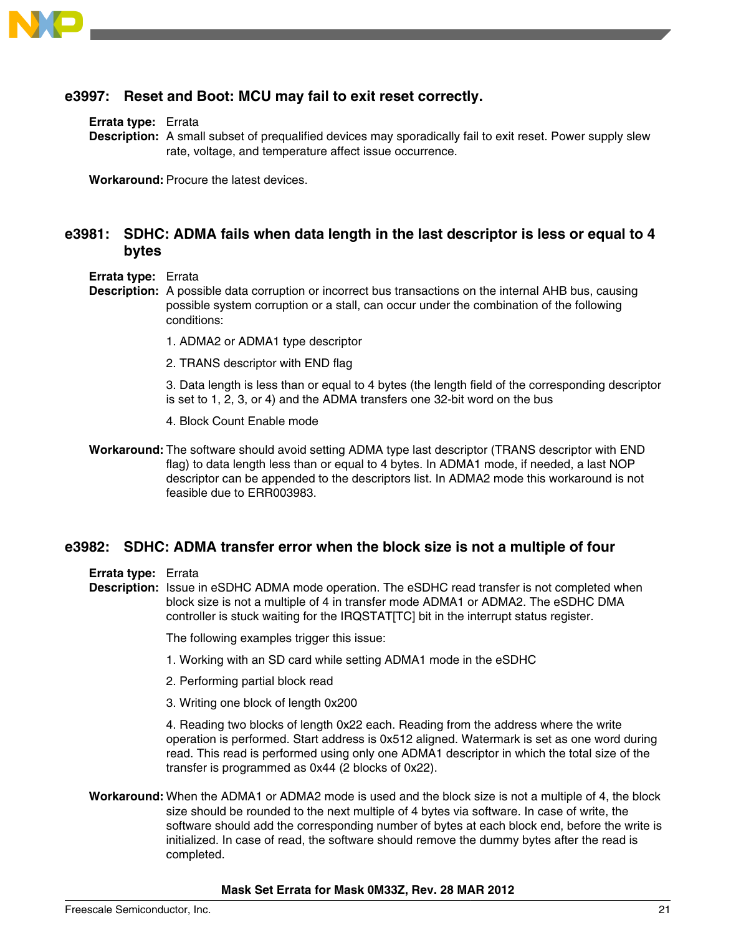

# **e3997: Reset and Boot: MCU may fail to exit reset correctly.**

**Errata type:** Errata

**Description:** A small subset of prequalified devices may sporadically fail to exit reset. Power supply slew rate, voltage, and temperature affect issue occurrence.

**Workaround:** Procure the latest devices.

### **e3981: SDHC: ADMA fails when data length in the last descriptor is less or equal to 4 bytes**

- **Errata type:** Errata
- **Description:** A possible data corruption or incorrect bus transactions on the internal AHB bus, causing possible system corruption or a stall, can occur under the combination of the following conditions:
	- 1. ADMA2 or ADMA1 type descriptor
	- 2. TRANS descriptor with END flag

3. Data length is less than or equal to 4 bytes (the length field of the corresponding descriptor is set to 1, 2, 3, or 4) and the ADMA transfers one 32-bit word on the bus

- 4. Block Count Enable mode
- **Workaround:** The software should avoid setting ADMA type last descriptor (TRANS descriptor with END flag) to data length less than or equal to 4 bytes. In ADMA1 mode, if needed, a last NOP descriptor can be appended to the descriptors list. In ADMA2 mode this workaround is not feasible due to ERR003983.

#### **e3982: SDHC: ADMA transfer error when the block size is not a multiple of four**

**Errata type:** Errata

**Description:** Issue in eSDHC ADMA mode operation. The eSDHC read transfer is not completed when block size is not a multiple of 4 in transfer mode ADMA1 or ADMA2. The eSDHC DMA controller is stuck waiting for the IRQSTAT[TC] bit in the interrupt status register.

The following examples trigger this issue:

- 1. Working with an SD card while setting ADMA1 mode in the eSDHC
- 2. Performing partial block read
- 3. Writing one block of length 0x200

4. Reading two blocks of length 0x22 each. Reading from the address where the write operation is performed. Start address is 0x512 aligned. Watermark is set as one word during read. This read is performed using only one ADMA1 descriptor in which the total size of the transfer is programmed as 0x44 (2 blocks of 0x22).

**Workaround:** When the ADMA1 or ADMA2 mode is used and the block size is not a multiple of 4, the block size should be rounded to the next multiple of 4 bytes via software. In case of write, the software should add the corresponding number of bytes at each block end, before the write is initialized. In case of read, the software should remove the dummy bytes after the read is completed.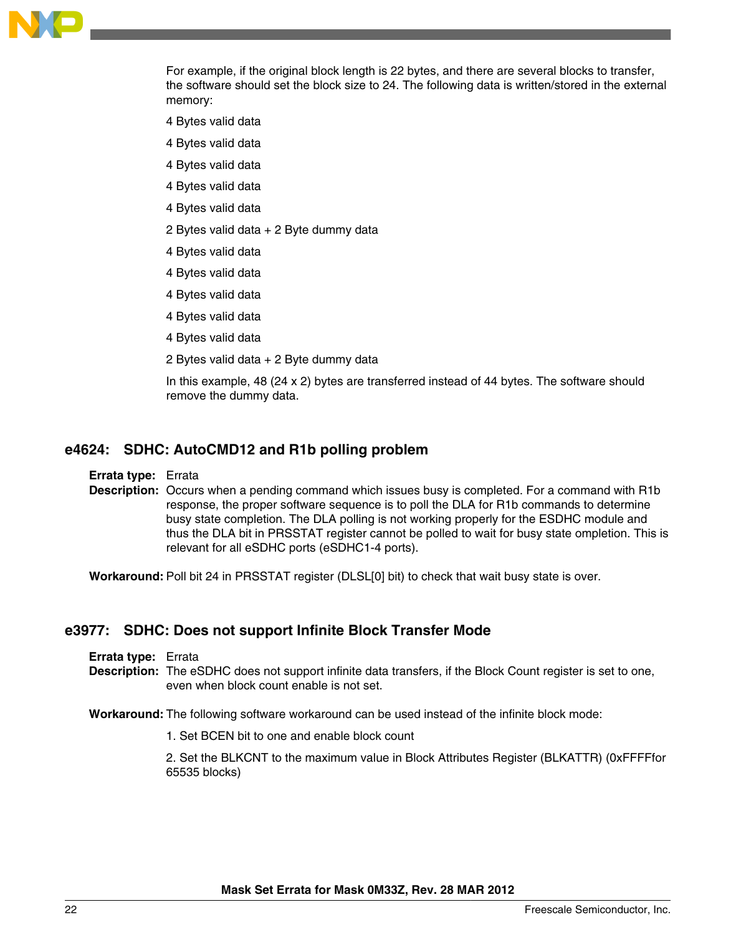

For example, if the original block length is 22 bytes, and there are several blocks to transfer, the software should set the block size to 24. The following data is written/stored in the external memory:

- 4 Bytes valid data
- 4 Bytes valid data
- 4 Bytes valid data
- 4 Bytes valid data
- 4 Bytes valid data
- 2 Bytes valid data + 2 Byte dummy data
- 4 Bytes valid data
- 4 Bytes valid data
- 4 Bytes valid data
- 4 Bytes valid data
- 4 Bytes valid data
- 2 Bytes valid data + 2 Byte dummy data

In this example, 48 (24 x 2) bytes are transferred instead of 44 bytes. The software should remove the dummy data.

### **e4624: SDHC: AutoCMD12 and R1b polling problem**

**Errata type:** Errata

**Description:** Occurs when a pending command which issues busy is completed. For a command with R1b response, the proper software sequence is to poll the DLA for R1b commands to determine busy state completion. The DLA polling is not working properly for the ESDHC module and thus the DLA bit in PRSSTAT register cannot be polled to wait for busy state ompletion. This is relevant for all eSDHC ports (eSDHC1-4 ports).

**Workaround:** Poll bit 24 in PRSSTAT register (DLSL[0] bit) to check that wait busy state is over.

### **e3977: SDHC: Does not support Infinite Block Transfer Mode**

- **Errata type:** Errata
- **Description:** The eSDHC does not support infinite data transfers, if the Block Count register is set to one, even when block count enable is not set.

**Workaround:** The following software workaround can be used instead of the infinite block mode:

1. Set BCEN bit to one and enable block count

2. Set the BLKCNT to the maximum value in Block Attributes Register (BLKATTR) (0xFFFFfor 65535 blocks)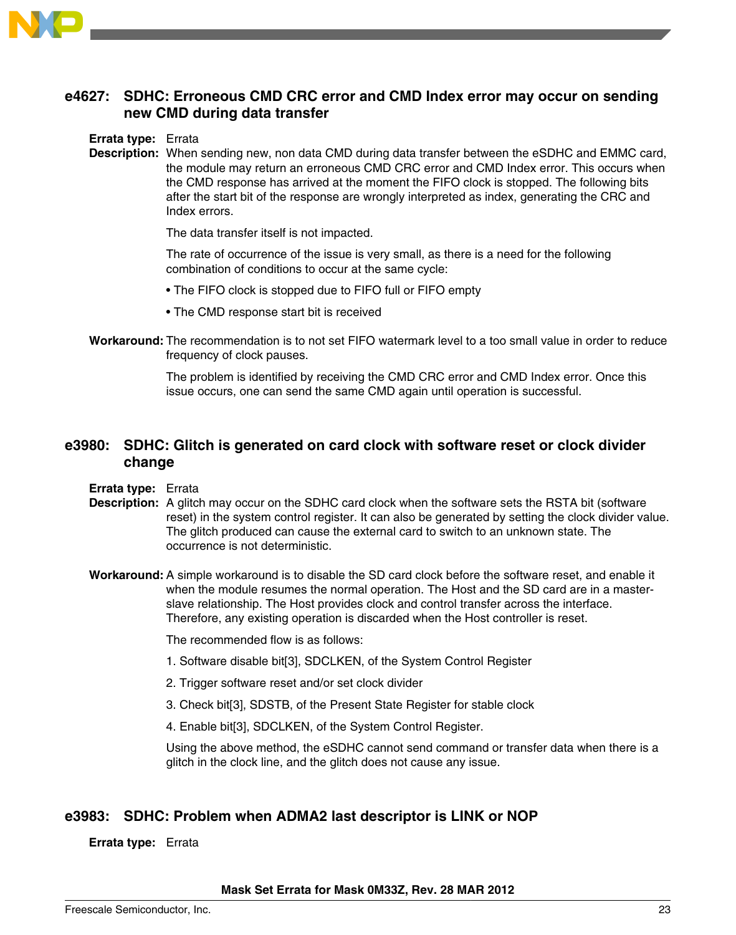

# **e4627: SDHC: Erroneous CMD CRC error and CMD Index error may occur on sending new CMD during data transfer**

#### **Errata type:** Errata

**Description:** When sending new, non data CMD during data transfer between the eSDHC and EMMC card, the module may return an erroneous CMD CRC error and CMD Index error. This occurs when the CMD response has arrived at the moment the FIFO clock is stopped. The following bits after the start bit of the response are wrongly interpreted as index, generating the CRC and Index errors.

The data transfer itself is not impacted.

The rate of occurrence of the issue is very small, as there is a need for the following combination of conditions to occur at the same cycle:

- The FIFO clock is stopped due to FIFO full or FIFO empty
- The CMD response start bit is received
- **Workaround:** The recommendation is to not set FIFO watermark level to a too small value in order to reduce frequency of clock pauses.

The problem is identified by receiving the CMD CRC error and CMD Index error. Once this issue occurs, one can send the same CMD again until operation is successful.

### **e3980: SDHC: Glitch is generated on card clock with software reset or clock divider change**

#### **Errata type:** Errata

- **Description:** A glitch may occur on the SDHC card clock when the software sets the RSTA bit (software reset) in the system control register. It can also be generated by setting the clock divider value. The glitch produced can cause the external card to switch to an unknown state. The occurrence is not deterministic.
- **Workaround:** A simple workaround is to disable the SD card clock before the software reset, and enable it when the module resumes the normal operation. The Host and the SD card are in a masterslave relationship. The Host provides clock and control transfer across the interface. Therefore, any existing operation is discarded when the Host controller is reset.

The recommended flow is as follows:

- 1. Software disable bit[3], SDCLKEN, of the System Control Register
- 2. Trigger software reset and/or set clock divider
- 3. Check bit[3], SDSTB, of the Present State Register for stable clock
- 4. Enable bit[3], SDCLKEN, of the System Control Register.

Using the above method, the eSDHC cannot send command or transfer data when there is a glitch in the clock line, and the glitch does not cause any issue.

### **e3983: SDHC: Problem when ADMA2 last descriptor is LINK or NOP**

#### **Errata type:** Errata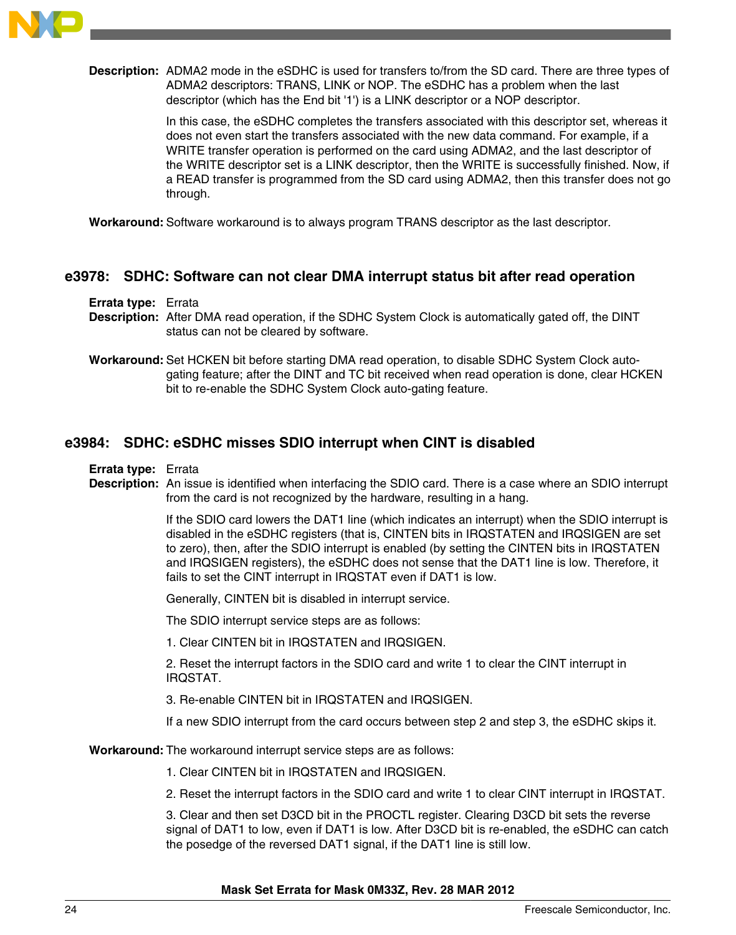

**Description:** ADMA2 mode in the eSDHC is used for transfers to/from the SD card. There are three types of ADMA2 descriptors: TRANS, LINK or NOP. The eSDHC has a problem when the last descriptor (which has the End bit '1') is a LINK descriptor or a NOP descriptor.

> In this case, the eSDHC completes the transfers associated with this descriptor set, whereas it does not even start the transfers associated with the new data command. For example, if a WRITE transfer operation is performed on the card using ADMA2, and the last descriptor of the WRITE descriptor set is a LINK descriptor, then the WRITE is successfully finished. Now, if a READ transfer is programmed from the SD card using ADMA2, then this transfer does not go through.

**Workaround:** Software workaround is to always program TRANS descriptor as the last descriptor.

### **e3978: SDHC: Software can not clear DMA interrupt status bit after read operation**

#### **Errata type:** Errata

- **Description:** After DMA read operation, if the SDHC System Clock is automatically gated off, the DINT status can not be cleared by software.
- **Workaround:** Set HCKEN bit before starting DMA read operation, to disable SDHC System Clock autogating feature; after the DINT and TC bit received when read operation is done, clear HCKEN bit to re-enable the SDHC System Clock auto-gating feature.

# **e3984: SDHC: eSDHC misses SDIO interrupt when CINT is disabled**

**Errata type:** Errata

**Description:** An issue is identified when interfacing the SDIO card. There is a case where an SDIO interrupt from the card is not recognized by the hardware, resulting in a hang.

> If the SDIO card lowers the DAT1 line (which indicates an interrupt) when the SDIO interrupt is disabled in the eSDHC registers (that is, CINTEN bits in IRQSTATEN and IRQSIGEN are set to zero), then, after the SDIO interrupt is enabled (by setting the CINTEN bits in IRQSTATEN and IRQSIGEN registers), the eSDHC does not sense that the DAT1 line is low. Therefore, it fails to set the CINT interrupt in IRQSTAT even if DAT1 is low.

Generally, CINTEN bit is disabled in interrupt service.

The SDIO interrupt service steps are as follows:

1. Clear CINTEN bit in IRQSTATEN and IRQSIGEN.

2. Reset the interrupt factors in the SDIO card and write 1 to clear the CINT interrupt in IRQSTAT.

3. Re-enable CINTEN bit in IRQSTATEN and IRQSIGEN.

If a new SDIO interrupt from the card occurs between step 2 and step 3, the eSDHC skips it.

**Workaround:** The workaround interrupt service steps are as follows:

1. Clear CINTEN bit in IRQSTATEN and IRQSIGEN.

2. Reset the interrupt factors in the SDIO card and write 1 to clear CINT interrupt in IRQSTAT.

3. Clear and then set D3CD bit in the PROCTL register. Clearing D3CD bit sets the reverse signal of DAT1 to low, even if DAT1 is low. After D3CD bit is re-enabled, the eSDHC can catch the posedge of the reversed DAT1 signal, if the DAT1 line is still low.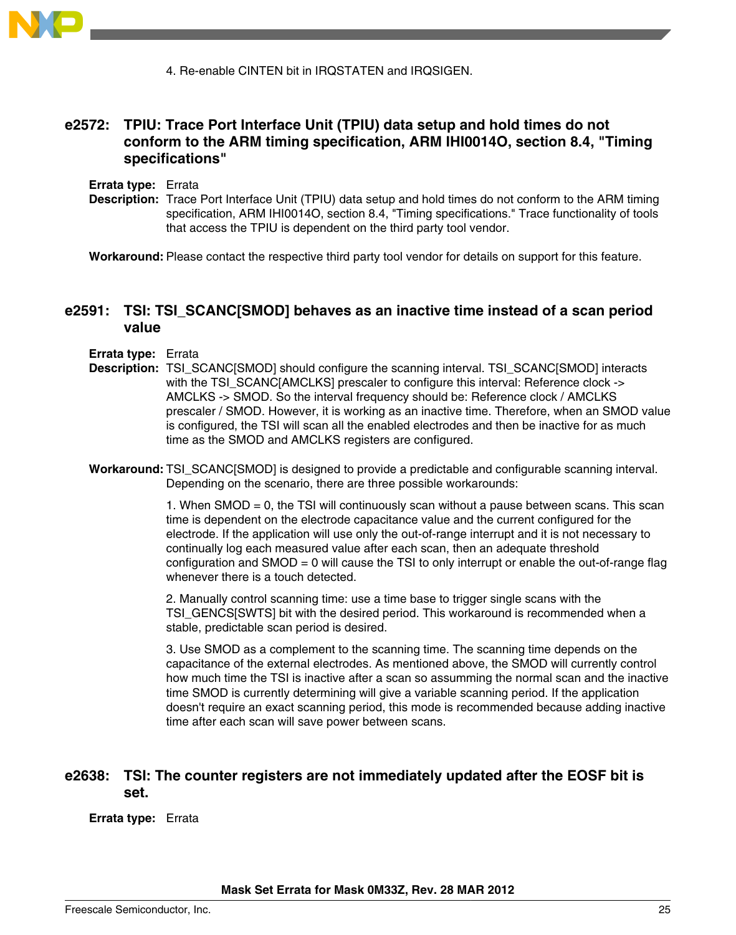

4. Re-enable CINTEN bit in IRQSTATEN and IRQSIGEN.

# **e2572: TPIU: Trace Port Interface Unit (TPIU) data setup and hold times do not conform to the ARM timing specification, ARM IHI0014O, section 8.4, "Timing specifications"**

**Errata type:** Errata

**Description:** Trace Port Interface Unit (TPIU) data setup and hold times do not conform to the ARM timing specification, ARM IHI0014O, section 8.4, "Timing specifications." Trace functionality of tools that access the TPIU is dependent on the third party tool vendor.

**Workaround:** Please contact the respective third party tool vendor for details on support for this feature.

# **e2591: TSI: TSI\_SCANC[SMOD] behaves as an inactive time instead of a scan period value**

#### **Errata type:** Errata

- **Description:** TSI\_SCANC[SMOD] should configure the scanning interval. TSI\_SCANC[SMOD] interacts with the TSI\_SCANC[AMCLKS] prescaler to configure this interval: Reference clock -> AMCLKS -> SMOD. So the interval frequency should be: Reference clock / AMCLKS prescaler / SMOD. However, it is working as an inactive time. Therefore, when an SMOD value is configured, the TSI will scan all the enabled electrodes and then be inactive for as much time as the SMOD and AMCLKS registers are configured.
- **Workaround:** TSI\_SCANC[SMOD] is designed to provide a predictable and configurable scanning interval. Depending on the scenario, there are three possible workarounds:

1. When SMOD = 0, the TSI will continuously scan without a pause between scans. This scan time is dependent on the electrode capacitance value and the current configured for the electrode. If the application will use only the out-of-range interrupt and it is not necessary to continually log each measured value after each scan, then an adequate threshold configuration and SMOD = 0 will cause the TSI to only interrupt or enable the out-of-range flag whenever there is a touch detected.

2. Manually control scanning time: use a time base to trigger single scans with the TSI\_GENCS[SWTS] bit with the desired period. This workaround is recommended when a stable, predictable scan period is desired.

3. Use SMOD as a complement to the scanning time. The scanning time depends on the capacitance of the external electrodes. As mentioned above, the SMOD will currently control how much time the TSI is inactive after a scan so assumming the normal scan and the inactive time SMOD is currently determining will give a variable scanning period. If the application doesn't require an exact scanning period, this mode is recommended because adding inactive time after each scan will save power between scans.

### **e2638: TSI: The counter registers are not immediately updated after the EOSF bit is set.**

**Errata type:** Errata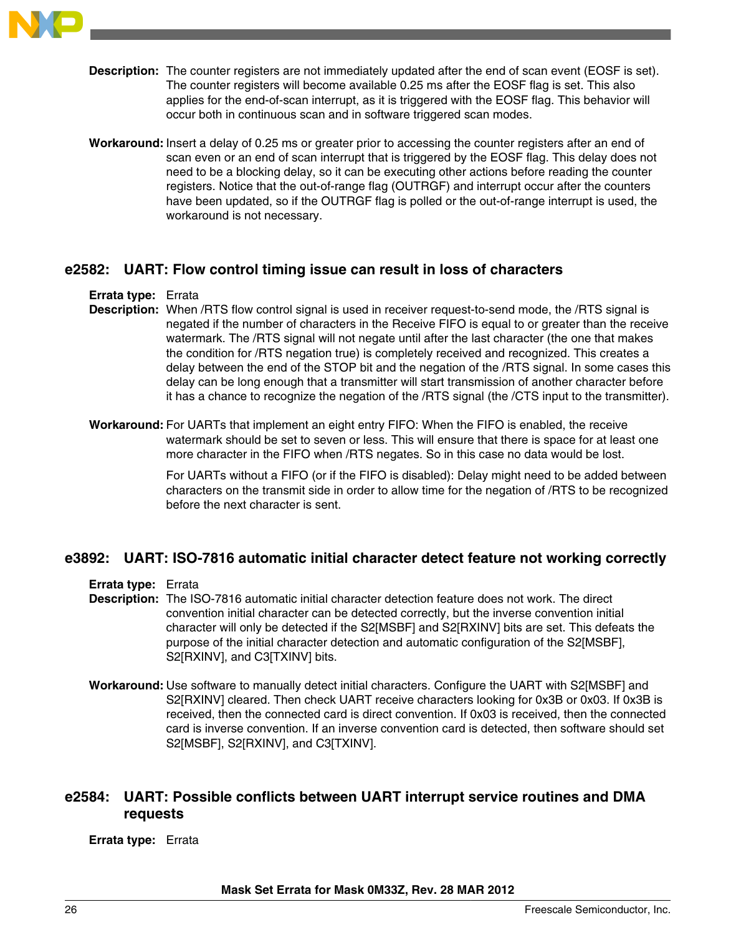

- **Description:** The counter registers are not immediately updated after the end of scan event (EOSF is set). The counter registers will become available 0.25 ms after the EOSF flag is set. This also applies for the end-of-scan interrupt, as it is triggered with the EOSF flag. This behavior will occur both in continuous scan and in software triggered scan modes.
- **Workaround:** Insert a delay of 0.25 ms or greater prior to accessing the counter registers after an end of scan even or an end of scan interrupt that is triggered by the EOSF flag. This delay does not need to be a blocking delay, so it can be executing other actions before reading the counter registers. Notice that the out-of-range flag (OUTRGF) and interrupt occur after the counters have been updated, so if the OUTRGF flag is polled or the out-of-range interrupt is used, the workaround is not necessary.

### **e2582: UART: Flow control timing issue can result in loss of characters**

#### **Errata type:** Errata

- **Description:** When /RTS flow control signal is used in receiver request-to-send mode, the /RTS signal is negated if the number of characters in the Receive FIFO is equal to or greater than the receive watermark. The /RTS signal will not negate until after the last character (the one that makes the condition for /RTS negation true) is completely received and recognized. This creates a delay between the end of the STOP bit and the negation of the /RTS signal. In some cases this delay can be long enough that a transmitter will start transmission of another character before it has a chance to recognize the negation of the /RTS signal (the /CTS input to the transmitter).
- **Workaround:** For UARTs that implement an eight entry FIFO: When the FIFO is enabled, the receive watermark should be set to seven or less. This will ensure that there is space for at least one more character in the FIFO when /RTS negates. So in this case no data would be lost.

For UARTs without a FIFO (or if the FIFO is disabled): Delay might need to be added between characters on the transmit side in order to allow time for the negation of /RTS to be recognized before the next character is sent.

### **e3892: UART: ISO-7816 automatic initial character detect feature not working correctly**

**Errata type:** Errata

**Description:** The ISO-7816 automatic initial character detection feature does not work. The direct convention initial character can be detected correctly, but the inverse convention initial character will only be detected if the S2[MSBF] and S2[RXINV] bits are set. This defeats the purpose of the initial character detection and automatic configuration of the S2[MSBF], S2[RXINV], and C3[TXINV] bits.

**Workaround:** Use software to manually detect initial characters. Configure the UART with S2[MSBF] and S2[RXINV] cleared. Then check UART receive characters looking for 0x3B or 0x03. If 0x3B is received, then the connected card is direct convention. If 0x03 is received, then the connected card is inverse convention. If an inverse convention card is detected, then software should set S2[MSBF], S2[RXINV], and C3[TXINV].

# **e2584: UART: Possible conflicts between UART interrupt service routines and DMA requests**

#### **Errata type:** Errata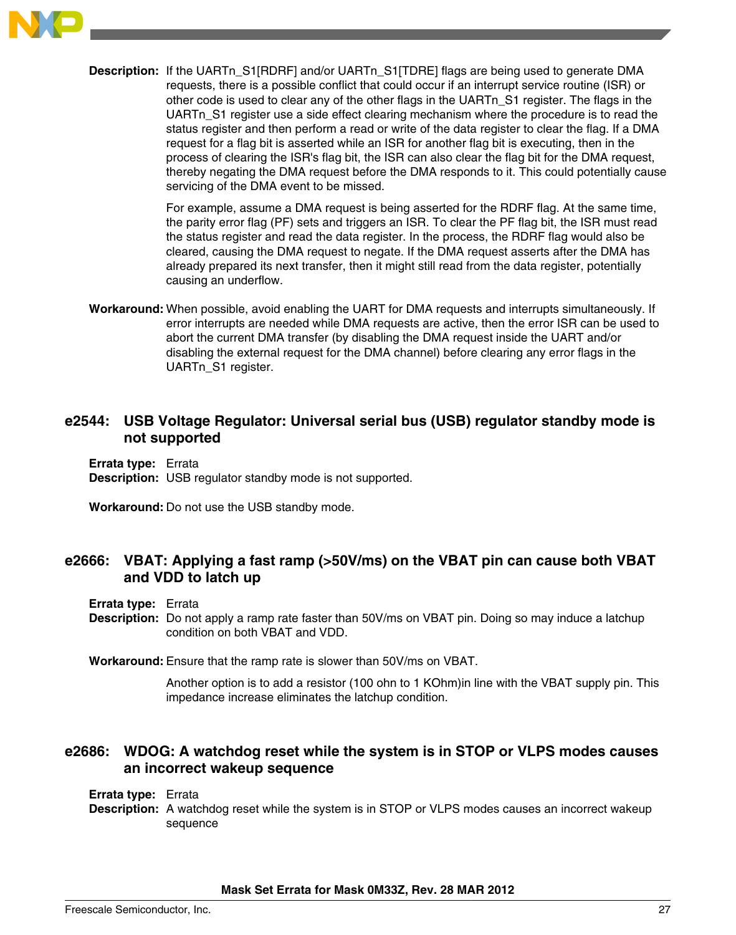

**Description:** If the UARTn\_S1[RDRF] and/or UARTn\_S1[TDRE] flags are being used to generate DMA requests, there is a possible conflict that could occur if an interrupt service routine (ISR) or other code is used to clear any of the other flags in the UARTn\_S1 register. The flags in the UARTn\_S1 register use a side effect clearing mechanism where the procedure is to read the status register and then perform a read or write of the data register to clear the flag. If a DMA request for a flag bit is asserted while an ISR for another flag bit is executing, then in the process of clearing the ISR's flag bit, the ISR can also clear the flag bit for the DMA request, thereby negating the DMA request before the DMA responds to it. This could potentially cause servicing of the DMA event to be missed.

> For example, assume a DMA request is being asserted for the RDRF flag. At the same time, the parity error flag (PF) sets and triggers an ISR. To clear the PF flag bit, the ISR must read the status register and read the data register. In the process, the RDRF flag would also be cleared, causing the DMA request to negate. If the DMA request asserts after the DMA has already prepared its next transfer, then it might still read from the data register, potentially causing an underflow.

**Workaround:** When possible, avoid enabling the UART for DMA requests and interrupts simultaneously. If error interrupts are needed while DMA requests are active, then the error ISR can be used to abort the current DMA transfer (by disabling the DMA request inside the UART and/or disabling the external request for the DMA channel) before clearing any error flags in the UARTn\_S1 register.

# **e2544: USB Voltage Regulator: Universal serial bus (USB) regulator standby mode is not supported**

**Errata type:** Errata **Description:** USB regulator standby mode is not supported.

**Workaround:** Do not use the USB standby mode.

# **e2666: VBAT: Applying a fast ramp (>50V/ms) on the VBAT pin can cause both VBAT and VDD to latch up**

#### **Errata type:** Errata

**Description:** Do not apply a ramp rate faster than 50V/ms on VBAT pin. Doing so may induce a latchup condition on both VBAT and VDD.

**Workaround:** Ensure that the ramp rate is slower than 50V/ms on VBAT.

Another option is to add a resistor (100 ohn to 1 KOhm)in line with the VBAT supply pin. This impedance increase eliminates the latchup condition.

# **e2686: WDOG: A watchdog reset while the system is in STOP or VLPS modes causes an incorrect wakeup sequence**

#### **Errata type:** Errata

**Description:** A watchdog reset while the system is in STOP or VLPS modes causes an incorrect wakeup sequence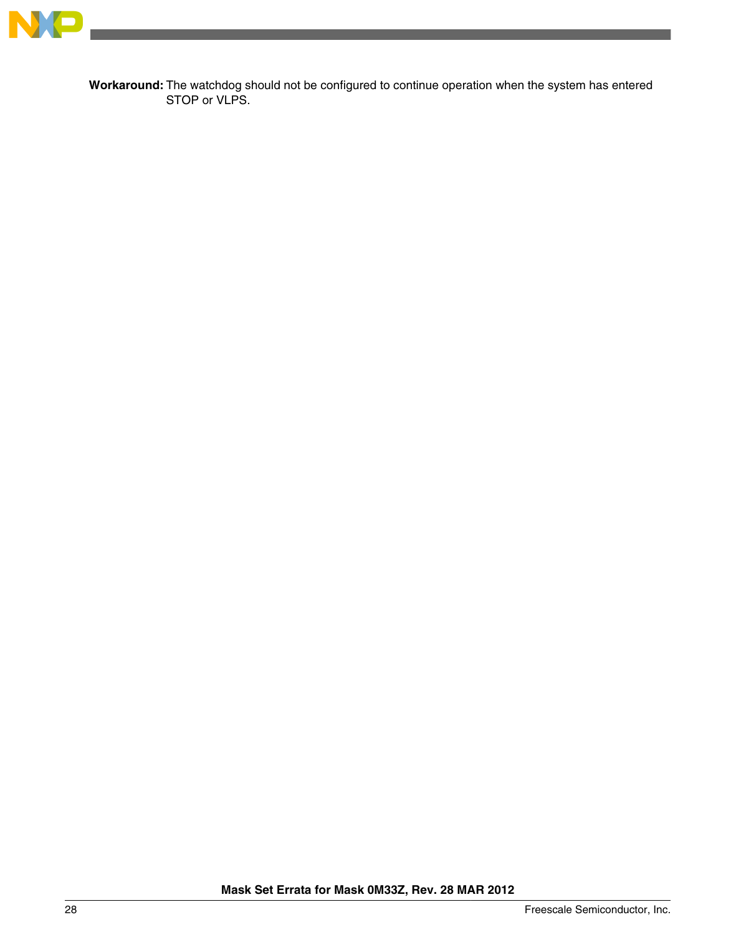

**Workaround:** The watchdog should not be configured to continue operation when the system has entered STOP or VLPS.